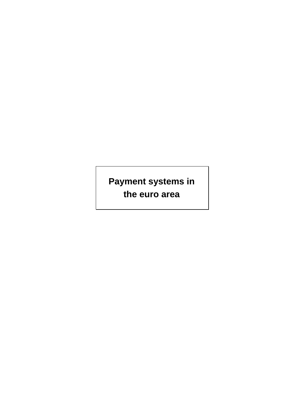**Payment systems in the euro area**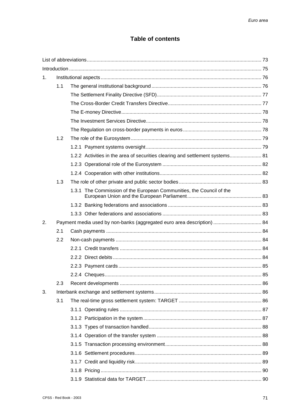# **Table of contents**

| 1. |                                                                        |  |                                                                               |  |  |
|----|------------------------------------------------------------------------|--|-------------------------------------------------------------------------------|--|--|
|    | 1.1                                                                    |  |                                                                               |  |  |
|    |                                                                        |  |                                                                               |  |  |
|    |                                                                        |  |                                                                               |  |  |
|    |                                                                        |  |                                                                               |  |  |
|    |                                                                        |  |                                                                               |  |  |
|    |                                                                        |  |                                                                               |  |  |
|    | 1.2                                                                    |  |                                                                               |  |  |
|    |                                                                        |  |                                                                               |  |  |
|    |                                                                        |  | 1.2.2 Activities in the area of securities clearing and settlement systems 81 |  |  |
|    |                                                                        |  |                                                                               |  |  |
|    |                                                                        |  |                                                                               |  |  |
|    | 1.3                                                                    |  |                                                                               |  |  |
|    |                                                                        |  | 1.3.1 The Commission of the European Communities, the Council of the          |  |  |
|    |                                                                        |  |                                                                               |  |  |
|    |                                                                        |  |                                                                               |  |  |
| 2. | Payment media used by non-banks (aggregated euro area description)  84 |  |                                                                               |  |  |
|    | 2.1                                                                    |  |                                                                               |  |  |
|    | 2.2                                                                    |  |                                                                               |  |  |
|    |                                                                        |  |                                                                               |  |  |
|    |                                                                        |  |                                                                               |  |  |
|    |                                                                        |  |                                                                               |  |  |
|    |                                                                        |  |                                                                               |  |  |
|    | 2.3                                                                    |  |                                                                               |  |  |
| 3. |                                                                        |  |                                                                               |  |  |
|    | 3.1                                                                    |  |                                                                               |  |  |
|    |                                                                        |  |                                                                               |  |  |
|    |                                                                        |  |                                                                               |  |  |
|    |                                                                        |  |                                                                               |  |  |
|    |                                                                        |  |                                                                               |  |  |
|    |                                                                        |  |                                                                               |  |  |
|    |                                                                        |  |                                                                               |  |  |
|    |                                                                        |  |                                                                               |  |  |
|    |                                                                        |  |                                                                               |  |  |
|    |                                                                        |  |                                                                               |  |  |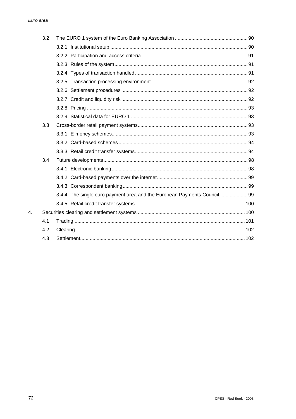| 3.2 |                                                                          |  |
|-----|--------------------------------------------------------------------------|--|
|     |                                                                          |  |
|     |                                                                          |  |
|     |                                                                          |  |
|     |                                                                          |  |
|     |                                                                          |  |
|     |                                                                          |  |
|     |                                                                          |  |
|     |                                                                          |  |
|     |                                                                          |  |
| 3.3 |                                                                          |  |
|     |                                                                          |  |
|     |                                                                          |  |
|     |                                                                          |  |
| 3.4 |                                                                          |  |
|     |                                                                          |  |
|     |                                                                          |  |
|     |                                                                          |  |
|     | 3.4.4 The single euro payment area and the European Payments Council  99 |  |
|     |                                                                          |  |
|     |                                                                          |  |
| 4.1 |                                                                          |  |
| 4.2 |                                                                          |  |
| 4.3 |                                                                          |  |

4.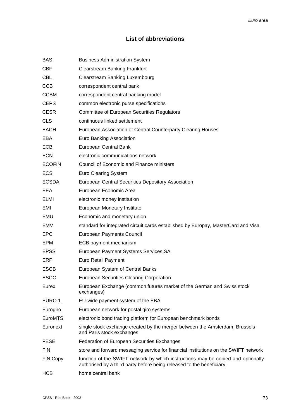# **List of abbreviations**

| <b>BAS</b>      | <b>Business Administration System</b>                                                                                                                     |
|-----------------|-----------------------------------------------------------------------------------------------------------------------------------------------------------|
| <b>CBF</b>      | <b>Clearstream Banking Frankfurt</b>                                                                                                                      |
| <b>CBL</b>      | Clearstream Banking Luxembourg                                                                                                                            |
| <b>CCB</b>      | correspondent central bank                                                                                                                                |
| <b>CCBM</b>     | correspondent central banking model                                                                                                                       |
| <b>CEPS</b>     | common electronic purse specifications                                                                                                                    |
| <b>CESR</b>     | <b>Committee of European Securities Regulators</b>                                                                                                        |
| <b>CLS</b>      | continuous linked settlement                                                                                                                              |
| <b>EACH</b>     | European Association of Central Counterparty Clearing Houses                                                                                              |
| EBA             | Euro Banking Association                                                                                                                                  |
| <b>ECB</b>      | European Central Bank                                                                                                                                     |
| <b>ECN</b>      | electronic communications network                                                                                                                         |
| <b>ECOFIN</b>   | Council of Economic and Finance ministers                                                                                                                 |
| <b>ECS</b>      | <b>Euro Clearing System</b>                                                                                                                               |
| <b>ECSDA</b>    | European Central Securities Depository Association                                                                                                        |
| EEA             | European Economic Area                                                                                                                                    |
| <b>ELMI</b>     | electronic money institution                                                                                                                              |
| EMI             | European Monetary Institute                                                                                                                               |
| EMU             | Economic and monetary union                                                                                                                               |
| EMV             | standard for integrated circuit cards established by Europay, MasterCard and Visa                                                                         |
| <b>EPC</b>      | <b>European Payments Council</b>                                                                                                                          |
| EPM             | ECB payment mechanism                                                                                                                                     |
| <b>EPSS</b>     | European Payment Systems Services SA                                                                                                                      |
| ERP             | Euro Retail Payment                                                                                                                                       |
| <b>ESCB</b>     | European System of Central Banks                                                                                                                          |
| ESCC            | <b>European Securities Clearing Corporation</b>                                                                                                           |
| Eurex           | European Exchange (common futures market of the German and Swiss stock<br>exchanges)                                                                      |
| EURO 1          | EU-wide payment system of the EBA                                                                                                                         |
| Eurogiro        | European network for postal giro systems                                                                                                                  |
| <b>EuroMTS</b>  | electronic bond trading platform for European benchmark bonds                                                                                             |
| Euronext        | single stock exchange created by the merger between the Amsterdam, Brussels<br>and Paris stock exchanges                                                  |
| <b>FESE</b>     | <b>Federation of European Securities Exchanges</b>                                                                                                        |
| <b>FIN</b>      | store and forward messaging service for financial institutions on the SWIFT network                                                                       |
| <b>FIN Copy</b> | function of the SWIFT network by which instructions may be copied and optionally<br>authorised by a third party before being released to the beneficiary. |
| <b>HCB</b>      | home central bank                                                                                                                                         |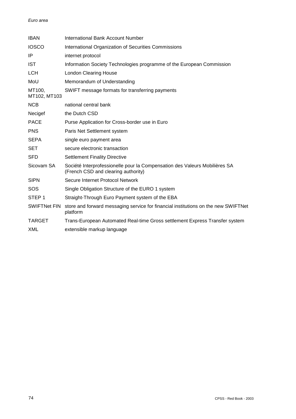| <b>IBAN</b>            | International Bank Account Number                                                                                 |
|------------------------|-------------------------------------------------------------------------------------------------------------------|
| <b>IOSCO</b>           | International Organization of Securities Commissions                                                              |
| IP                     | internet protocol                                                                                                 |
| <b>IST</b>             | Information Society Technologies programme of the European Commission                                             |
| <b>LCH</b>             | <b>London Clearing House</b>                                                                                      |
| MoU                    | Memorandum of Understanding                                                                                       |
| MT100,<br>MT102, MT103 | SWIFT message formats for transferring payments                                                                   |
| <b>NCB</b>             | national central bank                                                                                             |
| Necigef                | the Dutch CSD                                                                                                     |
| <b>PACE</b>            | Purse Application for Cross-border use in Euro                                                                    |
| <b>PNS</b>             | Paris Net Settlement system                                                                                       |
| <b>SEPA</b>            | single euro payment area                                                                                          |
| <b>SET</b>             | secure electronic transaction                                                                                     |
| <b>SFD</b>             | <b>Settlement Finality Directive</b>                                                                              |
| Sicovam SA             | Société Interprofessionelle pour la Compensation des Valeurs Mobilières SA<br>(French CSD and clearing authority) |
| <b>SIPN</b>            | Secure Internet Protocol Network                                                                                  |
| SOS                    | Single Obligation Structure of the EURO 1 system                                                                  |
| STEP <sub>1</sub>      | Straight-Through Euro Payment system of the EBA                                                                   |
| <b>SWIFTNet FIN</b>    | store and forward messaging service for financial institutions on the new SWIFTNet<br>platform                    |
| <b>TARGET</b>          | Trans-European Automated Real-time Gross settlement Express Transfer system                                       |
| XML                    | extensible markup language                                                                                        |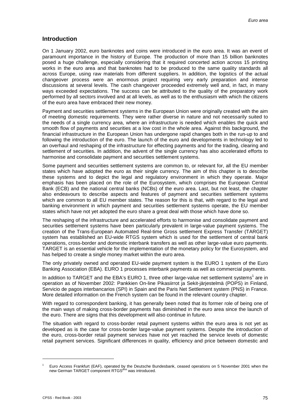# **Introduction**

On 1 January 2002, euro banknotes and coins were introduced in the euro area. It was an event of paramount importance in the history of Europe. The production of more than 15 billion banknotes posed a huge challenge, especially considering that it required concerted action across 15 printing works in the euro area and that banknotes had to be produced to the same quality standards all across Europe, using raw materials from different suppliers. In addition, the logistics of the actual changeover process were an enormous project requiring very early preparation and intense discussions at several levels. The cash changeover proceeded extremely well and, in fact, in many ways exceeded expectations. The success can be attributed to the quality of the preparatory work performed by all sectors involved and at all levels, as well as to the enthusiasm with which the citizens of the euro area have embraced their new money.

Payment and securities settlement systems in the European Union were originally created with the aim of meeting domestic requirements. They were rather diverse in nature and not necessarily suited to the needs of a single currency area, where an infrastructure is needed which enables the quick and smooth flow of payments and securities at a low cost in the whole area. Against this background, the financial infrastructure in the European Union has undergone rapid changes both in the run-up to and following the introduction of the euro. The launch of the euro and developments in technology led to an overhaul and reshaping of the infrastructure for effecting payments and for the trading, clearing and settlement of securities. In addition, the advent of the single currency has also accelerated efforts to harmonise and consolidate payment and securities settlement systems.

Some payment and securities settlement systems are common to, or relevant for, all the EU member states which have adopted the euro as their single currency. The aim of this chapter is to describe these systems and to depict the legal and regulatory environment in which they operate. Major emphasis has been placed on the role of the Eurosystem, which comprises the European Central Bank (ECB) and the national central banks (NCBs) of the euro area. Last, but not least, the chapter also endeavours to describe aspects and features of payment and securities settlement systems which are common to all EU member states. The reason for this is that, with regard to the legal and banking environment in which payment and securities settlement systems operate, the EU member states which have not yet adopted the euro share a great deal with those which have done so.

The reshaping of the infrastructure and accelerated efforts to harmonise and consolidate payment and securities settlement systems have been particularly prevalent in large-value payment systems. The creation of the Trans-European Automated Real-time Gross settlement Express Transfer (TARGET) system has established an EU-wide RTGS system which is used for the settlement of central bank operations, cross-border and domestic interbank transfers as well as other large-value euro payments. TARGET is an essential vehicle for the implementation of the monetary policy for the Eurosystem, and has helped to create a single money market within the euro area.

The only privately owned and operated EU-wide payment system is the EURO 1 system of the Euro Banking Association (EBA). EURO 1 processes interbank payments as well as commercial payments.

In addition to TARGET and the EBA's EURO 1, three other large-value net settlement systems<sup>1</sup> are in operation as of November 2002: Pankkien On-line Pikasiirrot ja Sekit-järjestelmä (POPS) in Finland, Servicio de pagos interbancarios (SPI) in Spain and the Paris Net Settlement system (PNS) in France. More detailed information on the French system can be found in the relevant country chapter.

With regard to correspondent banking, it has generally been noted that its former role of being one of the main ways of making cross-border payments has diminished in the euro area since the launch of the euro. There are signs that this development will also continue in future.

The situation with regard to cross-border retail payment systems within the euro area is not yet as developed as is the case for cross-border large-value payment systems. Despite the introduction of the euro, cross-border retail payment services have not yet reached the service levels of domestic retail payment services. Significant differences in quality, efficiency and price between domestic and

l

<sup>1</sup> Euro Access Frankfurt (EAF), operated by the Deutsche Bundesbank, ceased operations on 5 November 2001 when the<br>new German TARGET component RTGS<sup>plus</sup> was introduced.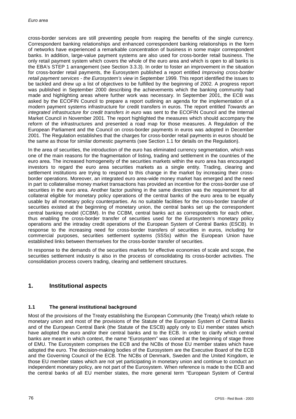cross-border services are still preventing people from reaping the benefits of the single currency. Correspondent banking relationships and enhanced correspondent banking relationships in the form of networks have experienced a remarkable concentration of business in some major correspondent banks. In addition, large-value payment systems are also used for cross-border retail business. The only retail payment system which covers the whole of the euro area and which is open to all banks is the EBA's STEP 1 arrangement (see Section 3.3.3). In order to foster an improvement in the situation for cross-border retail payments, the Eurosystem published a report entitled *Improving cross-border retail payment services - the Eurosystem's view* in September 1999. This report identified the issues to be tackled and drew up a list of objectives to be fulfilled by the beginning of 2002. A progress report was published in September 2000 describing the achievements which the banking community had made and highlighting areas where further work was necessary. In September 2001, the ECB was asked by the ECOFIN Council to prepare a report outlining an agenda for the implementation of a modern payment systems infrastructure for credit transfers in euros. The report entitled *Towards an integrated infrastructure for credit transfers in euro* was sent to the ECOFIN Council and the Internal Market Council in November 2001. The report highlighted the measures which should accompany the reform of the infrastructures and presented a road map for those measures. A Regulation of the European Parliament and the Council on cross-border payments in euros was adopted in December 2001. The Regulation establishes that the charges for cross-border retail payments in euros should be the same as those for similar domestic payments (see Section 1.1 for details on the Regulation).

In the area of securities, the introduction of the euro has eliminated currency segmentation, which was one of the main reasons for the fragmentation of listing, trading and settlement in the countries of the euro area. The increased homogeneity of the securities markets within the euro area has encouraged investors to regard the euro area securities markets as a single entity. Trading, clearing and settlement institutions are trying to respond to this change in the market by increasing their crossborder operations. Moreover, an integrated euro area-wide money market has emerged and the need in part to collateralise money market transactions has provided an incentive for the cross-border use of securities in the euro area. Another factor pushing in the same direction was the requirement for all collateral eligible for monetary policy operations of the central banks of the euro area to be equally usable by all monetary policy counterparties. As no suitable facilities for the cross-border transfer of securities existed at the beginning of monetary union, the central banks set up the correspondent central banking model (CCBM). In the CCBM, central banks act as correspondents for each other, thus enabling the cross-border transfer of securities used for the Eurosystem's monetary policy operations and the intraday credit operations of the European System of Central Banks (ESCB). In response to the increasing need for cross-border transfers of securities in euros, including for commercial purposes, securities settlement systems (SSSs) within the European Union have established links between themselves for the cross-border transfer of securities.

In response to the demands of the securities markets for effective economies of scale and scope, the securities settlement industry is also in the process of consolidating its cross-border activities. The consolidation process covers trading, clearing and settlement structures.

# **1. Institutional aspects**

# **1.1 The general institutional background**

Most of the provisions of the Treaty establishing the European Community (the Treaty) which relate to monetary union and most of the provisions of the Statute of the European System of Central Banks and of the European Central Bank (the Statute of the ESCB) apply only to EU member states which have adopted the euro and/or their central banks and to the ECB. In order to clarify which central banks are meant in which context, the name "Eurosystem" was coined at the beginning of stage three of EMU. The Eurosystem comprises the ECB and the NCBs of those EU member states which have adopted the euro. The decision-making bodies of the Eurosystem are the Executive Board of the ECB and the Governing Council of the ECB. The NCBs of Denmark, Sweden and the United Kingdom, ie those EU member states which are not yet participating in monetary union and continue to conduct an independent monetary policy, are not part of the Eurosystem. When reference is made to the ECB and the central banks of all EU member states, the more general term "European System of Central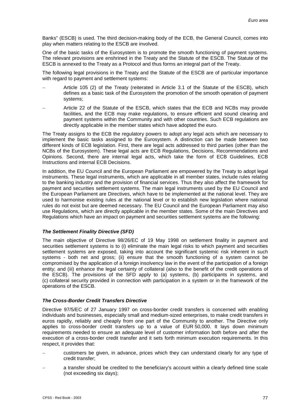Banks" (ESCB) is used. The third decision-making body of the ECB, the General Council, comes into play when matters relating to the ESCB are involved.

One of the basic tasks of the Eurosystem is to promote the smooth functioning of payment systems. The relevant provisions are enshrined in the Treaty and the Statute of the ESCB. The Statute of the ESCB is annexed to the Treaty as a Protocol and thus forms an integral part of the Treaty.

The following legal provisions in the Treaty and the Statute of the ESCB are of particular importance with regard to payment and settlement systems:

- - Article 105 (2) of the Treaty (reiterated in Article 3.1 of the Statute of the ESCB), which defines as a basic task of the Eurosystem the promotion of the smooth operation of payment systems;
- - Article 22 of the Statute of the ESCB, which states that the ECB and NCBs may provide facilities, and the ECB may make regulations, to ensure efficient and sound clearing and payment systems within the Community and with other countries. Such ECB regulations are directly applicable in the member states which have adopted the euro.

The Treaty assigns to the ECB the regulatory powers to adopt any legal acts which are necessary to implement the basic tasks assigned to the Eurosystem. A distinction can be made between two different kinds of ECB legislation. First, there are legal acts addressed to third parties (other than the NCBs of the Eurosystem). These legal acts are ECB Regulations, Decisions, Recommendations and Opinions. Second, there are internal legal acts, which take the form of ECB Guidelines, ECB Instructions and internal ECB Decisions.

In addition, the EU Council and the European Parliament are empowered by the Treaty to adopt legal instruments. These legal instruments, which are applicable in all member states, include rules relating to the banking industry and the provision of financial services. Thus they also affect the framework for payment and securities settlement systems. The main legal instruments used by the EU Council and the European Parliament are Directives, which have to be implemented at the national level. They are used to harmonise existing rules at the national level or to establish new legislation where national rules do not exist but are deemed necessary. The EU Council and the European Parliament may also use Regulations, which are directly applicable in the member states. Some of the main Directives and Regulations which have an impact on payment and securities settlement systems are the following:

# *The Settlement Finality Directive (SFD)*

The main objective of Directive 98/26/EC of 19 May 1998 on settlement finality in payment and securities settlement systems is to (i) eliminate the main legal risks to which payment and securities settlement systems are exposed, taking into account the significant systemic risk inherent in such systems - both net and gross; (ii) ensure that the smooth functioning of a system cannot be compromised by the application of a foreign insolvency law in the event of the participation of a foreign entity; and (iii) enhance the legal certainty of collateral (also to the benefit of the credit operations of the ESCB). The provisions of the SFD apply to (a) systems, (b) participants in systems, and (c) collateral security provided in connection with participation in a system or in the framework of the operations of the ESCB.

#### *The Cross-Border Credit Transfers Directive*

Directive 97/5/EC of 27 January 1997 on cross-border credit transfers is concerned with enabling individuals and businesses, especially small and medium-sized enterprises, to make credit transfers in euros rapidly, reliably and cheaply from one part of the Community to another. The Directive only applies to cross-border credit transfers up to a value of EUR 50,000. It lays down minimum requirements needed to ensure an adequate level of customer information both before and after the execution of a cross-border credit transfer and it sets forth minimum execution requirements. In this respect, it provides that:

- customers be given, in advance, prices which they can understand clearly for any type of credit transfer;
- a transfer should be credited to the beneficiary's account within a clearly defined time scale (not exceeding six days);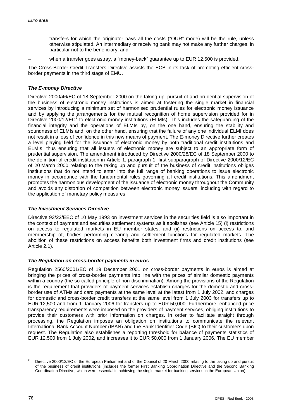- transfers for which the originator pays all the costs ("OUR" mode) will be the rule, unless otherwise stipulated. An intermediary or receiving bank may not make any further charges, in particular not to the beneficiary; and
- when a transfer goes astray, a "money-back" guarantee up to EUR 12,500 is provided.

The Cross-Border Credit Transfers Directive assists the ECB in its task of promoting efficient crossborder payments in the third stage of EMU.

# *The E-money Directive*

Directive 2000/46/EC of 18 September 2000 on the taking up, pursuit of and prudential supervision of the business of electronic money institutions is aimed at fostering the single market in financial services by introducing a minimum set of harmonised prudential rules for electronic money issuance and by applying the arrangements for the mutual recognition of home supervision provided for in Directive 2000/12/EC<sup>2</sup> to electronic money institutions (ELMIs). This includes the safeguarding of the financial integrity and the operations of ELMIs by, on the one hand, ensuring the stability and soundness of ELMIs and, on the other hand, ensuring that the failure of any one individual ELMI does not result in a loss of confidence in this new means of payment. The E-money Directive further creates a level playing field for the issuance of electronic money by both traditional credit institutions and ELMIs, thus ensuring that all issuers of electronic money are subject to an appropriate form of prudential supervision. The amendment introduced by Directive 2000/28/EC of 18 September 2000 to the definition of credit institution in Article 1, paragraph 1, first subparagraph of Directive 2000/12/EC of 20 March 2000 relating to the taking up and pursuit of the business of credit institutions obliges institutions that do not intend to enter into the full range of banking operations to issue electronic money in accordance with the fundamental rules governing all credit institutions. This amendment promotes the harmonious development of the issuance of electronic money throughout the Community and avoids any distortion of competition between electronic money issuers, including with regard to the application of monetary policy measures.

# *The Investment Services Directive*

Directive 93/22/EEC of 10 May 1993 on investment services in the securities field is also important in the context of payment and securities settlement systems as it abolishes (see Article 15) (i) restrictions on access to regulated markets in EU member states, and (ii) restrictions on access to, and membership of, bodies performing clearing and settlement functions for regulated markets. The abolition of these restrictions on access benefits both investment firms and credit institutions (see Article 2.1).

# *The Regulation on cross-border payments in euros*

Regulation 2560/2001/EC of 19 December 2001 on cross-border payments in euros is aimed at bringing the prices of cross-border payments into line with the prices of similar domestic payments within a country (the so-called principle of non-discrimination). Among the provisions of the Regulation is the requirement that providers of payment services establish charges for the domestic and crossborder use of ATMs and card payments at the same level at the latest from 1 July 2002, and charges for domestic and cross-border credit transfers at the same level from 1 July 2003 for transfers up to EUR 12,500 and from 1 January 2006 for transfers up to EUR 50,000. Furthermore, enhanced price transparency requirements were imposed on the providers of payment services, obliging institutions to provide their customers with prior information on charges. In order to facilitate straight through processing, the Regulation imposes an obligation on institutions to communicate the relevant International Bank Account Number (IBAN) and the Bank Identifier Code (BIC) to their customers upon request. The Regulation also establishes a reporting threshold for balance of payments statistics of EUR 12,500 from 1 July 2002, and increases it to EUR 50,000 from 1 January 2006. The EU member

l

<sup>2</sup> Directive 2000/12/EC of the European Parliament and of the Council of 20 March 2000 relating to the taking up and pursuit of the business of credit institutions (includes the former First Banking Coordination Directive and the Second Banking Coordination Directive, which were essential in achieving the single market for banking services in the European Union).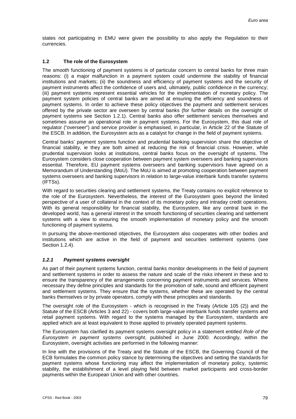states not participating in EMU were given the possibility to also apply the Regulation to their currencies.

# **1.2 The role of the Eurosystem**

The smooth functioning of payment systems is of particular concern to central banks for three main reasons: (i) a major malfunction in a payment system could undermine the stability of financial institutions and markets; (ii) the soundness and efficiency of payment systems and the security of payment instruments affect the confidence of users and, ultimately, public confidence in the currency; (iii) payment systems represent essential vehicles for the implementation of monetary policy. The payment system policies of central banks are aimed at ensuring the efficiency and soundness of payment systems. In order to achieve these policy objectives the payment and settlement services offered by the private sector are overseen by central banks (for further details on the oversight of payment systems see Section 1.2.1). Central banks also offer settlement services themselves and sometimes assume an operational role in payment systems. For the Eurosystem, this dual role of regulator ("overseer") and service provider is emphasised, in particular, in Article 22 of the Statute of the ESCB. In addition, the Eurosystem acts as a catalyst for change in the field of payment systems.

Central banks' payment systems function and prudential banking supervision share the objective of financial stability, ie they are both aimed at reducing the risk of financial crisis. However, while prudential supervision looks at institutions, central banks focus on the oversight of systems. The Eurosystem considers close cooperation between payment system overseers and banking supervisors essential. Therefore, EU payment systems overseers and banking supervisors have agreed on a Memorandum of Understanding (MoU). The MoU is aimed at promoting cooperation between payment systems overseers and banking supervisors in relation to large-value interbank funds transfer systems (IFTSs).

With regard to securities clearing and settlement systems, the Treaty contains no explicit reference to the role of the Eurosystem. Nevertheless, the interest of the Eurosystem goes beyond the limited perspective of a user of collateral in the context of its monetary policy and intraday credit operations. With its general responsibility for financial stability, the Eurosystem, like any central bank in the developed world, has a general interest in the smooth functioning of securities clearing and settlement systems with a view to ensuring the smooth implementation of monetary policy and the smooth functioning of payment systems.

In pursuing the above-mentioned objectives, the Eurosystem also cooperates with other bodies and institutions which are active in the field of payment and securities settlement systems (see Section 1.2.4).

# *1.2.1 Payment systems oversight*

As part of their payment systems function, central banks monitor developments in the field of payment and settlement systems in order to assess the nature and scale of the risks inherent in these and to ensure the transparency of the arrangements concerning payment instruments and services. Where necessary they define principles and standards for the promotion of safe, sound and efficient payment and settlement systems. They ensure that the systems, whether these are operated by the central banks themselves or by private operators, comply with these principles and standards.

The oversight role of the Eurosystem - which is recognised in the Treaty (Article 105 (2)) and the Statute of the ESCB (Articles 3 and 22) - covers both large-value interbank funds transfer systems and retail payment systems. With regard to the systems managed by the Eurosystem, standards are applied which are at least equivalent to those applied to privately operated payment systems.

The Eurosystem has clarified its payment systems oversight policy in a statement entitled *Role of the Eurosystem in payment systems oversight*, published in June 2000. Accordingly, within the Eurosystem, oversight activities are performed in the following manner:

In line with the provisions of the Treaty and the Statute of the ESCB, the Governing Council of the ECB formulates the common policy stance by determining the objectives and setting the standards for payment systems whose functioning may affect the implementation of monetary policy, systemic stability, the establishment of a level playing field between market participants and cross-border payments within the European Union and with other countries.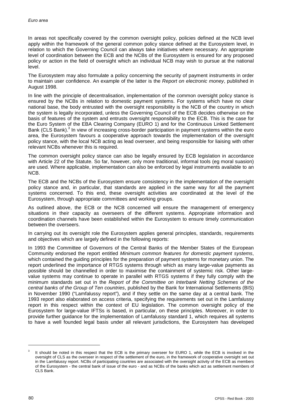In areas not specifically covered by the common oversight policy, policies defined at the NCB level apply within the framework of the general common policy stance defined at the Eurosystem level, in relation to which the Governing Council can always take initiatives where necessary. An appropriate level of coordination between the ECB and the NCBs of the Eurosystem is ensured for any proposed policy or action in the field of oversight which an individual NCB may wish to pursue at the national level.

The Eurosystem may also formulate a policy concerning the security of payment instruments in order to maintain user confidence. An example of the latter is the *Report on electronic money*, published in August 1998.

In line with the principle of decentralisation, implementation of the common oversight policy stance is ensured by the NCBs in relation to domestic payment systems. For systems which have no clear national base, the body entrusted with the oversight responsibility is the NCB of the country in which the system is legally incorporated, unless the Governing Council of the ECB decides otherwise on the basis of features of the system and entrusts oversight responsibility to the ECB. This is the case for the Euro System of the EBA Clearing Company (EURO 1) and for the Continuous Linked Settlement Bank (CLS Bank).<sup>3</sup> In view of increasing cross-border participation in payment systems within the euro area, the Eurosystem favours a cooperative approach towards the implementation of the oversight policy stance, with the local NCB acting as lead overseer, and being responsible for liaising with other relevant NCBs whenever this is required.

The common oversight policy stance can also be legally ensured by ECB legislation in accordance with Article 22 of the Statute. So far, however, only more traditional, informal tools (eg moral suasion) are used. Where applicable, implementation can also be enforced by legal instruments available to an NCB.

The ECB and the NCBs of the Eurosystem ensure consistency in the implementation of the oversight policy stance and, in particular, that standards are applied in the same way for all the payment systems concerned. To this end, these oversight activities are coordinated at the level of the Eurosystem, through appropriate committees and working groups.

As outlined above, the ECB or the NCB concerned will ensure the management of emergency situations in their capacity as overseers of the different systems. Appropriate information and coordination channels have been established within the Eurosystem to ensure timely communication between the overseers.

In carrying out its oversight role the Eurosystem applies general principles, standards, requirements and objectives which are largely defined in the following reports:

In 1993 the Committee of Governors of the Central Banks of the Member States of the European Community endorsed the report entitled *Minimum common features for domestic payment systems*, which contained the guiding principles for the preparation of payment systems for monetary union. The report underlined the importance of RTGS systems through which as many large-value payments as possible should be channelled in order to maximise the containment of systemic risk. Other largevalue systems may continue to operate in parallel with RTGS systems if they fully comply with the minimum standards set out in the *Report of the Committee on Interbank Netting Schemes of the central banks of the Group of Ten countries*, published by the Bank for International Settlements (BIS) in November 1990 ("Lamfalussy report"), and if they settle on the same day at a central bank. The 1993 report also elaborated on access criteria, specifying the requirements set out in the Lamfalussy report in this respect within the context of EU legislation. The common oversight policy of the Eurosystem for large-value IFTSs is based, in particular, on these principles. Moreover, in order to provide further guidance for the implementation of Lamfalussy standard 1, which requires all systems to have a well founded legal basis under all relevant jurisdictions, the Eurosystem has developed

l

<sup>3</sup> It should be noted in this respect that the ECB is the primary overseer for EURO 1, while the ECB is involved in the oversight of CLS as the overseer in respect of the settlement of the euro, in the framework of cooperative oversight set out in the Lamfalussy report. NCBs of participating countries are associated with the oversight activity of the ECB as members of the Eurosystem - the central bank of issue of the euro - and as NCBs of the banks which act as settlement members of CLS Bank.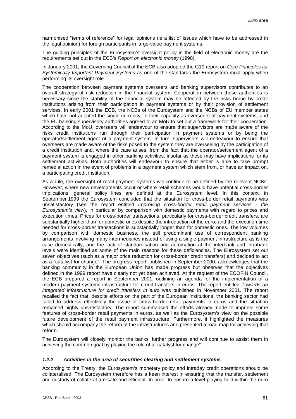harmonised "terms of reference" for legal opinions (ie a list of issues which have to be addressed in the legal opinion) for foreign participants in large-value payment systems.

The guiding principles of the Eurosystem's oversight policy in the field of electronic money are the requirements set out in the ECB's *Report on electronic money* (1998).

In January 2001, the Governing Council of the ECB also adopted the G10 report on *Core Principles for Systemically Important Payment Systems* as one of the standards the Eurosystem must apply when performing its oversight role.

The cooperation between payment systems overseers and banking supervisors contributes to an overall strategy of risk reduction in the financial system. Cooperation between these authorities is necessary since the stability of the financial system may be affected by the risks borne by credit institutions arising from their participation in payment systems or by their provision of settlement services. In early 2001 the ECB, the NCBs of the Eurosystem and the NCBs of EU member states which have not adopted the single currency, in their capacity as overseers of payment systems, and the EU banking supervisory authorities agreed to an MoU to set out a framework for their cooperation. According to the MoU, overseers will endeavour to ensure that supervisors are made aware of the risks credit institutions run through their participation in payment systems or by being the operator/settlement agent of a payment system. In turn, supervisors will endeavour to ensure that overseers are made aware of the risks posed to the system they are overseeing by the participation of a credit institution and, where the case arises, from the fact that the operator/settlement agent of a payment system is engaged in other banking activities, insofar as these may have implications for its settlement activities. Both authorities will endeavour to ensure that either is able to take prompt remedial action in the event of problems in a payment system which stem from, or have an impact on, a participating credit institution.

As a rule, the oversight of retail payment systems will continue to be defined by the relevant NCBs. However, where new developments occur or where retail schemes would have potential cross-border implications, general policy lines are defined at the Eurosystem level. In this context, in September 1999 the Eurosystem concluded that the situation for cross-border retail payments was unsatisfactory (see the report entitled *Improving cross-border retail payment services - the Eurosystem's view*), in particular by comparison with domestic payments with regard to prices and execution times. Prices for cross-border transactions, particularly for cross-border credit transfers, are substantially higher than for domestic ones despite the introduction of the euro, and the execution time needed for cross-border transactions is substantially longer than for domestic ones. The low volumes by comparison with domestic business, the still predominant use of correspondent banking arrangements involving many intermediaries instead of using a single payment infrastructure as is the case domestically, and the lack of standardisation and automation at the interbank and intrabank levels were identified as some of the main reasons for these deficiencies. The Eurosystem set out seven objectives (such as a major price reduction for cross-border credit transfers) and decided to act as a "catalyst for change". The progress report, published in September 2000, acknowledges that the banking community in the European Union has made progress but observes that the objectives defined in the 1999 report have clearly not yet been achieved. At the request of the ECOFIN Council, the ECB prepared a report in September 2001, outlining an agenda for the implementation of a modern payment systems infrastructure for credit transfers in euros. The report entitled *Towards an integrated infrastructure for credit transfers in euro* was published in November 2001. The report recalled the fact that, despite efforts on the part of the European institutions, the banking sector had failed to address effectively the issue of cross-border retail payments in euros and the situation remained highly unsatisfactory. The report summarised the efforts already made to improve some features of cross-border retail payments in euros, as well as the Eurosystem's view on the possible future development of the retail payment infrastructure. Furthermore, it highlighted the measures which should accompany the reform of the infrastructures and presented a road map for achieving that reform.

The Eurosystem will closely monitor the banks' further progress and will continue to assist them in achieving the common goal by playing the role of a "catalyst for change".

#### *1.2.2 Activities in the area of securities clearing and settlement systems*

According to the Treaty, the Eurosystem's monetary policy and intraday credit operations should be collateralised. The Eurosystem therefore has a keen interest in ensuring that the transfer, settlement and custody of collateral are safe and efficient. In order to ensure a level playing field within the euro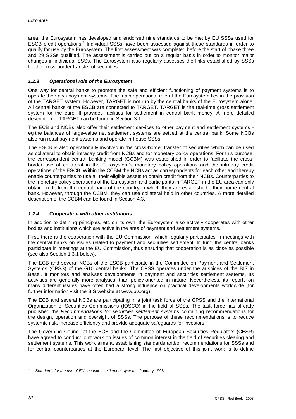area, the Eurosystem has developed and endorsed nine standards to be met by EU SSSs used for ESCB credit operations.<sup>4</sup> Individual SSSs have been assessed against these standards in order to qualify for use by the Eurosystem. The first assessment was completed before the start of phase three and 29 SSSs qualified. The assessment is carried out on a regular basis in order to monitor major changes in individual SSSs. The Eurosystem also regularly assesses the links established by SSSs for the cross-border transfer of securities.

# *1.2.3 Operational role of the Eurosystem*

One way for central banks to promote the safe and efficient functioning of payment systems is to operate their own payment systems. The main operational role of the Eurosystem lies in the provision of the TARGET system. However, TARGET is not run by the central banks of the Eurosystem alone. All central banks of the ESCB are connected to TARGET. TARGET is the real-time gross settlement system for the euro. It provides facilities for settlement in central bank money. A more detailed description of TARGET can be found in Section 3.1.

The ECB and NCBs also offer their settlement services to other payment and settlement systems eg the balances of large-value net settlement systems are settled at the central bank. Some NCBs also run retail payment systems and operate in-house SSSs.

The ESCB is also operationally involved in the cross-border transfer of securities which can be used as collateral to obtain intraday credit from NCBs and for monetary policy operations. For this purpose, the correspondent central banking model (CCBM) was established in order to facilitate the crossborder use of collateral in the Eurosystem's monetary policy operations and the intraday credit operations of the ESCB. Within the CCBM the NCBs act as correspondents for each other and thereby enable counterparties to use all their eligible assets to obtain credit from their NCBs. Counterparties to the monetary policy operations of the Eurosystem and participants in TARGET in the EU area can only obtain credit from the central bank of the country in which they are established - their home central bank. However, through the CCBM, they can use collateral held in other countries. A more detailed description of the CCBM can be found in Section 4.3.

# *1.2.4 Cooperation with other institutions*

In addition to defining principles, etc on its own, the Eurosystem also actively cooperates with other bodies and institutions which are active in the area of payment and settlement systems.

First, there is the cooperation with the EU Commission, which regularly participates in meetings with the central banks on issues related to payment and securities settlement. In turn, the central banks participate in meetings at the EU Commission, thus ensuring that cooperation is as close as possible (see also Section 1.3.1 below).

The ECB and several NCBs of the ESCB participate in the Committee on Payment and Settlement Systems (CPSS) of the G10 central banks. The CPSS operates under the auspices of the BIS in Basel. It monitors and analyses developments in payment and securities settlement systems. Its activities are generally more analytical than policy-oriented in nature. Nevertheless, its reports on many different issues have often had a strong influence on practical developments worldwide (for further information visit the BIS website at www.bis.org).

The ECB and several NCBs are participating in a joint task force of the CPSS and the International Organization of Securities Commissions (IOSCO) in the field of SSSs. The task force has already published the *Recommendations for securities settlement systems* containing recommendations for the design, operation and oversight of SSSs. The purpose of these recommendations is to reduce systemic risk, increase efficiency and provide adequate safeguards for investors.

The Governing Council of the ECB and the Committee of European Securities Regulators (CESR) have agreed to conduct joint work on issues of common interest in the field of securities clearing and settlement systems. This work aims at establishing standards and/or recommendations for SSSs and for central counterparties at the European level. The first objective of this joint work is to define

l

<sup>4</sup> *Standards for the use of EU securities settlement systems*, January 1998.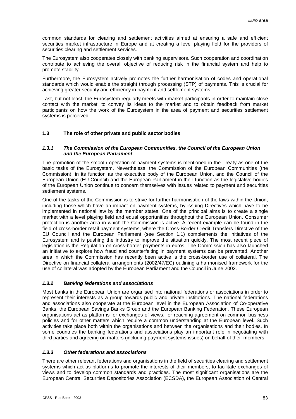common standards for clearing and settlement activities aimed at ensuring a safe and efficient securities market infrastructure in Europe and at creating a level playing field for the providers of securities clearing and settlement services.

The Eurosystem also cooperates closely with banking supervisors. Such cooperation and coordination contribute to achieving the overall objective of reducing risk in the financial system and help to promote stability.

Furthermore, the Eurosystem actively promotes the further harmonisation of codes and operational standards which would enable the straight through processing (STP) of payments. This is crucial for achieving greater security and efficiency in payment and settlement systems.

Last, but not least, the Eurosystem regularly meets with market participants in order to maintain close contact with the market, to convey its ideas to the market and to obtain feedback from market participants on how the work of the Eurosystem in the area of payment and securities settlement systems is perceived.

# **1.3 The role of other private and public sector bodies**

### *1.3.1 The Commission of the European Communities, the Council of the European Union and the European Parliament*

The promotion of the smooth operation of payment systems is mentioned in the Treaty as one of the basic tasks of the Eurosystem. Nevertheless, the Commission of the European Communities (the Commission), in its function as the executive body of the European Union, and the Council of the European Union (EU Council) and the European Parliament in their function as the legislative bodies of the European Union continue to concern themselves with issues related to payment and securities settlement systems.

One of the tasks of the Commission is to strive for further harmonisation of the laws within the Union, including those which have an impact on payment systems, by issuing Directives which have to be implemented in national law by the member states. One of the principal aims is to create a single market with a level playing field and equal opportunities throughout the European Union. Consumer protection is another area in which the Commission is active. A recent example can be found in the field of cross-border retail payment systems, where the Cross-Border Credit Transfers Directive of the EU Council and the European Parliament (see Section 1.1) complements the initiatives of the Eurosystem and is pushing the industry to improve the situation quickly. The most recent piece of legislation is the Regulation on cross-border payments in euros. The Commission has also launched an initiative to explore how fraud and counterfeiting in payment systems can be prevented. Another area in which the Commission has recently been active is the cross-border use of collateral. The Directive on financial collateral arrangements (2002/47/EC) outlining a harmonised framework for the use of collateral was adopted by the European Parliament and the Council in June 2002.

# *1.3.2 Banking federations and associations*

Most banks in the European Union are organised into national federations or associations in order to represent their interests as a group towards public and private institutions. The national federations and associations also cooperate at the European level in the European Association of Co-operative Banks, the European Savings Banks Group and the European Banking Federation. These European organisations act as platforms for exchanges of views, for reaching agreement on common business policies and for other matters which require a common understanding at the European level. Such activities take place both within the organisations and between the organisations and their bodies. In some countries the banking federations and associations play an important role in negotiating with third parties and agreeing on matters (including payment systems issues) on behalf of their members.

# *1.3.3 Other federations and associations*

There are other relevant federations and organisations in the field of securities clearing and settlement systems which act as platforms to promote the interests of their members, to facilitate exchanges of views and to develop common standards and practices. The most significant organisations are the European Central Securities Depositories Association (ECSDA), the European Association of Central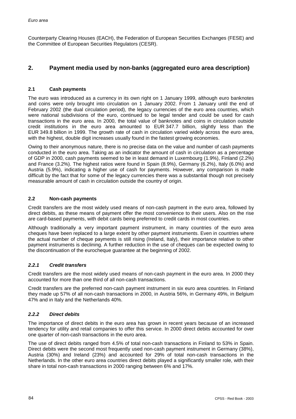Counterparty Clearing Houses (EACH), the Federation of European Securities Exchanges (FESE) and the Committee of European Securities Regulators (CESR).

# **2. Payment media used by non-banks (aggregated euro area description)**

# **2.1 Cash payments**

The euro was introduced as a currency in its own right on 1 January 1999, although euro banknotes and coins were only brought into circulation on 1 January 2002. From 1 January until the end of February 2002 (the dual circulation period), the legacy currencies of the euro area countries, which were national subdivisions of the euro, continued to be legal tender and could be used for cash transactions in the euro area. In 2000, the total value of banknotes and coins in circulation outside credit institutions in the euro area amounted to EUR 347.7 billion, slightly less than the EUR 349.8 billion in 1999. The growth rate of cash in circulation varied widely across the euro area, with the highest, double digit increases usually found in the fastest growing economies.

Owing to their anonymous nature, there is no precise data on the value and number of cash payments conducted in the euro area. Taking as an indicator the amount of cash in circulation as a percentage of GDP in 2000, cash payments seemed to be in least demand in Luxembourg (1.9%), Finland (2.2%) and France (3.2%). The highest ratios were found in Spain (8.9%), Germany (6.2%), Italy (6.0%) and Austria (5.9%), indicating a higher use of cash for payments. However, any comparison is made difficult by the fact that for some of the legacy currencies there was a substantial though not precisely measurable amount of cash in circulation outside the country of origin.

# **2.2 Non-cash payments**

Credit transfers are the most widely used means of non-cash payment in the euro area, followed by direct debits, as these means of payment offer the most convenience to their users. Also on the rise are card-based payments, with debit cards being preferred to credit cards in most countries.

Although traditionally a very important payment instrument, in many countries of the euro area cheques have been replaced to a large extent by other payment instruments. Even in countries where the actual number of cheque payments is still rising (Ireland, Italy), their importance relative to other payment instruments is declining. A further reduction in the use of cheques can be expected owing to the discontinuation of the eurocheque guarantee at the beginning of 2002.

# *2.2.1 Credit transfers*

Credit transfers are the most widely used means of non-cash payment in the euro area. In 2000 they accounted for more than one third of all non-cash transactions.

Credit transfers are the preferred non-cash payment instrument in six euro area countries. In Finland they made up 57% of all non-cash transactions in 2000, in Austria 56%, in Germany 49%, in Belgium 47% and in Italy and the Netherlands 40%.

# *2.2.2 Direct debits*

The importance of direct debits in the euro area has grown in recent years because of an increased tendency for utility and retail companies to offer this service. In 2000 direct debits accounted for over one quarter of non-cash transactions in the euro area.

The use of direct debits ranged from 4.5% of total non-cash transactions in Finland to 53% in Spain. Direct debits were the second most frequently used non-cash payment instrument in Germany (38%), Austria (30%) and Ireland (23%) and accounted for 29% of total non-cash transactions in the Netherlands. In the other euro area countries direct debits played a significantly smaller role, with their share in total non-cash transactions in 2000 ranging between 6% and 17%.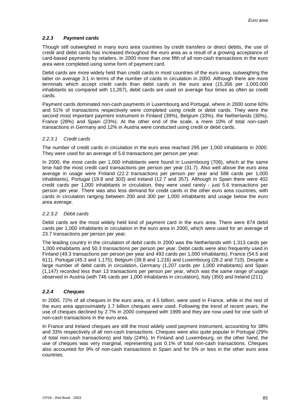# *2.2.3 Payment cards*

Though still outweighed in many euro area countries by credit transfers or direct debits, the use of credit and debit cards has increased throughout the euro area as a result of a growing acceptance of card-based payments by retailers. In 2000 more than one fifth of all non-cash transactions in the euro area were completed using some form of payment card.

Debit cards are more widely held than credit cards in most countries of the euro area, outweighing the latter on average 3:1 in terms of the number of cards in circulation in 2000. Although there are more terminals which accept credit cards than debit cards in the euro area (15,356 per 1,000,000 inhabitants as compared with 11,267), debit cards are used on average four times as often as credit cards.

Payment cards dominated non-cash payments in Luxembourg and Portugal, where in 2000 some 60% and 51% of transactions respectively were completed using credit or debit cards. They were the second most important payment instrument in Finland (39%), Belgium (33%), the Netherlands (30%), France (28%) and Spain (23%). At the other end of the scale, a mere 10% of total non-cash transactions in Germany and 12% in Austria were conducted using credit or debit cards.

# *2.2.3.1 Credit cards*

The number of credit cards in circulation in the euro area reached 295 per 1,000 inhabitants in 2000. They were used for an average of 5.8 transactions per person per year.

In 2000, the most cards per 1,000 inhabitants were found in Luxembourg (706), which at the same time had the most credit card transactions per person per year (31.7). Also well above the euro area average in usage were Finland (22.2 transactions per person per year and 588 cards per 1,000 inhabitants), Portugal (19.8 and 303) and Ireland (12.7 and 357). Although in Spain there were 402 credit cards per 1,000 inhabitants in circulation, they were used rarely - just 5.6 transactions per person per year. There was also less demand for credit cards in the other euro area countries, with cards in circulation ranging between 200 and 300 per 1,000 inhabitants and usage below the euro area average.

# *2.2.3.2 Debit cards*

Debit cards are the most widely held kind of payment card in the euro area. There were 874 debit cards per 1,000 inhabitants in circulation in the euro area in 2000, which were used for an average of 23.7 transactions per person per year.

The leading country in the circulation of debit cards in 2000 was the Netherlands with 1,313 cards per 1,000 inhabitants and 50.3 transactions per person per year. Debit cards were also frequently used in Finland (49.3 transactions per person per year and 493 cards per 1,000 inhabitants), France (54.5 and 611), Portugal (45.3 and 1,175), Belgium (39.8 and 1,216) and Luxembourg (26.2 and 710). Despite a large number of debit cards in circulation, Germany (1,207 cards per 1,000 inhabitants) and Spain (1,147) recorded less than 13 transactions per person per year, which was the same range of usage observed in Austria (with 746 cards per 1,000 inhabitants in circulation), Italy (350) and Ireland (211).

# *2.2.4 Cheques*

In 2000, 72% of all cheques in the euro area, or 4.5 billion, were used in France, while in the rest of the euro area approximately 1.7 billion cheques were used. Following the trend of recent years, the use of cheques declined by 2.7% in 2000 compared with 1999 and they are now used for one sixth of non-cash transactions in the euro area.

In France and Ireland cheques are still the most widely used payment instrument, accounting for 38% and 33% respectively of all non-cash transactions. Cheques were also quite popular in Portugal (29% of total non-cash transactions) and Italy (24%). In Finland and Luxembourg, on the other hand, the use of cheques was very marginal, representing just 0.1% of total non-cash transactions. Cheques also accounted for 9% of non-cash transactions in Spain and for 5% or less in the other euro area countries.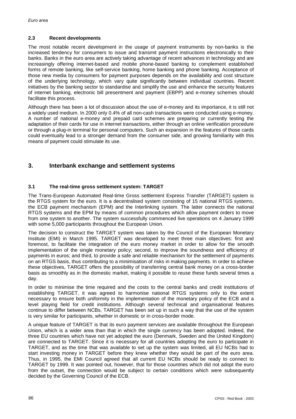### **2.3 Recent developments**

The most notable recent development in the usage of payment instruments by non-banks is the increased tendency for consumers to issue and transmit payment instructions electronically to their banks. Banks in the euro area are actively taking advantage of recent advances in technology and are increasingly offering internet-based and mobile phone-based banking to complement established forms of remote banking, like self-service banking, home banking and phone banking. Acceptance of those new media by consumers for payment purposes depends on the availability and cost structure of the underlying technology, which vary quite significantly between individual countries. Recent initiatives by the banking sector to standardise and simplify the use and enhance the security features of internet banking, electronic bill presentment and payment (EBPP) and e-money schemes should facilitate this process.

Although there has been a lot of discussion about the use of e-money and its importance, it is still not a widely used medium. In 2000 only 0.4% of all non-cash transactions were conducted using e-money. A number of national e-money and prepaid card schemes are preparing or currently testing the adaptation of their cards for use in internet transactions, either through an online verification procedure or through a plug-in terminal for personal computers. Such an expansion in the features of those cards could eventually lead to a stronger demand from the consumer side, and growing familiarity with this means of payment could stimulate its use.

# **3. Interbank exchange and settlement systems**

# **3.1 The real-time gross settlement system: TARGET**

The Trans-European Automated Real-time Gross settlement Express Transfer (TARGET) system is the RTGS system for the euro. It is a decentralised system consisting of 15 national RTGS systems, the ECB payment mechanism (EPM) and the Interlinking system. The latter connects the national RTGS systems and the EPM by means of common procedures which allow payment orders to move from one system to another. The system successfully commenced live operations on 4 January 1999 with some 5,000 participants throughout the European Union.

The decision to construct the TARGET system was taken by the Council of the European Monetary Institute (EMI) in March 1995. TARGET was developed to meet three main objectives: first and foremost, to facilitate the integration of the euro money market in order to allow for the smooth implementation of the single monetary policy; second, to improve the soundness and efficiency of payments in euros; and third, to provide a safe and reliable mechanism for the settlement of payments on an RTGS basis, thus contributing to a minimisation of risks in making payments. In order to achieve these objectives, TARGET offers the possibility of transferring central bank money on a cross-border basis as smoothly as in the domestic market, making it possible to reuse these funds several times a day.

In order to minimise the time required and the costs to the central banks and credit institutions of establishing TARGET, it was agreed to harmonise national RTGS systems only to the extent necessary to ensure both uniformity in the implementation of the monetary policy of the ECB and a level playing field for credit institutions. Although several technical and organisational features continue to differ between NCBs, TARGET has been set up in such a way that the use of the system is very similar for participants, whether in domestic or in cross-border mode.

A unique feature of TARGET is that its euro payment services are available throughout the European Union, which is a wider area than that in which the single currency has been adopted. Indeed, the three EU countries which have not yet adopted the euro (Denmark, Sweden and the United Kingdom) are connected to TARGET. Since it is necessary for all countries adopting the euro to participate in TARGET, and as the time that was available to set up the system was limited, all EU NCBs had to start investing money in TARGET before they knew whether they would be part of the euro area. Thus, in 1995, the EMI Council agreed that all current EU NCBs should be ready to connect to TARGET by 1999. It was pointed out, however, that for those countries which did not adopt the euro from the outset, the connection would be subject to certain conditions which were subsequently decided by the Governing Council of the ECB.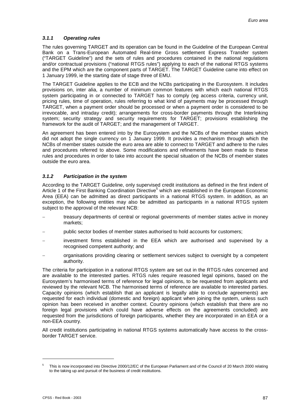# *3.1.1 Operating rules*

The rules governing TARGET and its operation can be found in the Guideline of the European Central Bank on a Trans-European Automated Real-time Gross settlement Express Transfer system ("TARGET Guideline") and the sets of rules and procedures contained in the national regulations and/or contractual provisions ("national RTGS rules") applying to each of the national RTGS systems and the EPM which are the component parts of TARGET. The TARGET Guideline came into effect on 1 January 1999, ie the starting date of stage three of EMU.

The TARGET Guideline applies to the ECB and the NCBs participating in the Eurosystem. It includes provisions on, inter alia, a number of minimum common features with which each national RTGS system participating in or connected to TARGET has to comply (eg access criteria, currency unit, pricing rules, time of operation, rules referring to what kind of payments may be processed through TARGET, when a payment order should be processed or when a payment order is considered to be irrevocable, and intraday credit); arrangements for cross-border payments through the Interlinking system; security strategy and security requirements for TARGET; provisions establishing the framework for the audit of TARGET; and the management of TARGET.

An agreement has been entered into by the Eurosystem and the NCBs of the member states which did not adopt the single currency on 1 January 1999. It provides a mechanism through which the NCBs of member states outside the euro area are able to connect to TARGET and adhere to the rules and procedures referred to above. Some modifications and refinements have been made to these rules and procedures in order to take into account the special situation of the NCBs of member states outside the euro area.

# *3.1.2 Participation in the system*

According to the TARGET Guideline, only supervised credit institutions as defined in the first indent of Article 1 of the First Banking Coordination Directive<sup>5</sup> which are established in the European Economic Area (EEA) can be admitted as direct participants in a national RTGS system. In addition, as an exception, the following entities may also be admitted as participants in a national RTGS system subject to the approval of the relevant NCB:

- treasury departments of central or regional governments of member states active in money markets;
- public sector bodies of member states authorised to hold accounts for customers;
- investment firms established in the EEA which are authorised and supervised by a recognised competent authority; and
- organisations providing clearing or settlement services subject to oversight by a competent authority.

The criteria for participation in a national RTGS system are set out in the RTGS rules concerned and are available to the interested parties. RTGS rules require reasoned legal opinions, based on the Eurosystem's harmonised terms of reference for legal opinions, to be requested from applicants and reviewed by the relevant NCB. The harmonised terms of reference are available to interested parties. Capacity opinions (which establish that an applicant is legally able to conclude agreements) are requested for each individual (domestic and foreign) applicant when joining the system, unless such opinion has been received in another context. Country opinions (which establish that there are no foreign legal provisions which could have adverse effects on the agreements concluded) are requested from the jurisdictions of foreign participants, whether they are incorporated in an EEA or a non-EEA country.

All credit institutions participating in national RTGS systems automatically have access to the crossborder TARGET service.

l

<sup>5</sup> This is now incorporated into Directive 2000/12/EC of the European Parliament and of the Council of 20 March 2000 relating to the taking up and pursuit of the business of credit institutions.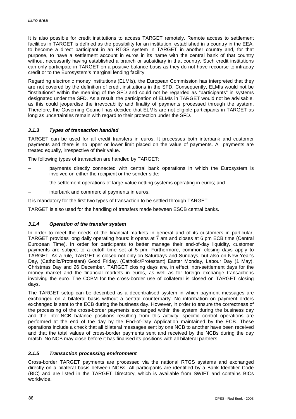It is also possible for credit institutions to access TARGET remotely. Remote access to settlement facilities in TARGET is defined as the possibility for an institution, established in a country in the EEA, to become a direct participant in an RTGS system in TARGET in another country and, for that purpose, to have a settlement account in euros in its name with the central bank of that country without necessarily having established a branch or subsidiary in that country. Such credit institutions can only participate in TARGET on a positive balance basis as they do not have recourse to intraday credit or to the Eurosystem's marginal lending facility.

Regarding electronic money institutions (ELMIs), the European Commission has interpreted that they are not covered by the definition of credit institutions in the SFD. Consequently, ELMIs would not be "institutions" within the meaning of the SFD and could not be regarded as "participants" in systems designated under the SFD. As a result, the participation of ELMIs in TARGET would not be advisable, as this could jeopardise the irrevocability and finality of payments processed through the system. Therefore, the Governing Council has decided that ELMIs are not eligible participants in TARGET as long as uncertainties remain with regard to their protection under the SFD.

# *3.1.3 Types of transaction handled*

TARGET can be used for all credit transfers in euros. It processes both interbank and customer payments and there is no upper or lower limit placed on the value of payments. All payments are treated equally, irrespective of their value.

The following types of transaction are handled by TARGET:

- payments directly connected with central bank operations in which the Eurosystem is involved on either the recipient or the sender side;
- the settlement operations of large-value netting systems operating in euros; and
- interbank and commercial payments in euros.

It is mandatory for the first two types of transaction to be settled through TARGET.

TARGET is also used for the handling of transfers made between ESCB central banks.

# *3.1.4 Operation of the transfer system*

In order to meet the needs of the financial markets in general and of its customers in particular, TARGET provides long daily operating hours: it opens at 7 am and closes at 6 pm ECB time (Central European Time). In order for participants to better manage their end-of-day liquidity, customer payments are subject to a cutoff time set at 5 pm. Furthermore, common closing days apply to TARGET. As a rule, TARGET is closed not only on Saturdays and Sundays, but also on New Year's Day, (Catholic/Protestant) Good Friday, (Catholic/Protestant) Easter Monday, Labour Day (1 May), Christmas Day and 26 December. TARGET closing days are, in effect, non-settlement days for the money market and the financial markets in euros, as well as for foreign exchange transactions involving the euro. The CCBM for the cross-border use of collateral is closed on TARGET closing days.

The TARGET setup can be described as a decentralised system in which payment messages are exchanged on a bilateral basis without a central counterparty. No information on payment orders exchanged is sent to the ECB during the business day. However, in order to ensure the correctness of the processing of the cross-border payments exchanged within the system during the business day and the inter-NCB balance positions resulting from this activity, specific control operations are performed at the end of the day by the End-of-Day Application maintained by the ECB. These operations include a check that all bilateral messages sent by one NCB to another have been received and that the total values of cross-border payments sent and received by the NCBs during the day match. No NCB may close before it has finalised its positions with all bilateral partners.

# *3.1.5 Transaction processing environment*

Cross-border TARGET payments are processed via the national RTGS systems and exchanged directly on a bilateral basis between NCBs. All participants are identified by a Bank Identifier Code (BIC) and are listed in the TARGET Directory, which is available from SWIFT and contains BICs worldwide.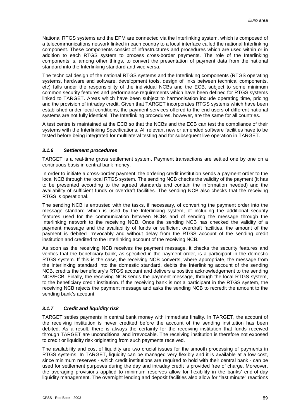National RTGS systems and the EPM are connected via the Interlinking system, which is composed of a telecommunications network linked in each country to a local interface called the national Interlinking component. These components consist of infrastructures and procedures which are used within or in addition to each RTGS system to process cross-border payments. The role of the Interlinking components is, among other things, to convert the presentation of payment data from the national standard into the Interlinking standard and vice versa.

The technical design of the national RTGS systems and the Interlinking components (RTGS operating systems, hardware and software, development tools, design of links between technical components, etc) falls under the responsibility of the individual NCBs and the ECB, subject to some minimum common security features and performance requirements which have been defined for RTGS systems linked to TARGET. Areas which have been subject to harmonisation include operating time, pricing and the provision of intraday credit. Given that TARGET incorporates RTGS systems which have been established under local conditions, the payment services offered to the end users of different national systems are not fully identical. The Interlinking procedures, however, are the same for all countries.

A test centre is maintained at the ECB so that the NCBs and the ECB can test the compliance of their systems with the Interlinking Specifications. All relevant new or amended software facilities have to be tested before being integrated for multilateral testing and for subsequent live operation in TARGET.

# *3.1.6 Settlement procedures*

TARGET is a real-time gross settlement system. Payment transactions are settled one by one on a continuous basis in central bank money.

In order to initiate a cross-border payment, the ordering credit institution sends a payment order to the local NCB through the local RTGS system. The sending NCB checks the validity of the payment (it has to be presented according to the agreed standards and contain the information needed) and the availability of sufficient funds or overdraft facilities. The sending NCB also checks that the receiving RTGS is operational.

The sending NCB is entrusted with the tasks, if necessary, of converting the payment order into the message standard which is used by the Interlinking system, of including the additional security features used for the communication between NCBs and of sending the message through the Interlinking network to the receiving NCB. Once the sending NCB has checked the validity of a payment message and the availability of funds or sufficient overdraft facilities, the amount of the payment is debited irrevocably and without delay from the RTGS account of the sending credit institution and credited to the Interlinking account of the receiving NCB.

As soon as the receiving NCB receives the payment message, it checks the security features and verifies that the beneficiary bank, as specified in the payment order, is a participant in the domestic RTGS system. If this is the case, the receiving NCB converts, where appropriate, the message from the Interlinking standard into the domestic standard, debits the Interlinking account of the sending NCB, credits the beneficiary's RTGS account and delivers a positive acknowledgement to the sending NCB/ECB. Finally, the receiving NCB sends the payment message, through the local RTGS system, to the beneficiary credit institution. If the receiving bank is not a participant in the RTGS system, the receiving NCB rejects the payment message and asks the sending NCB to recredit the amount to the sending bank's account.

# *3.1.7 Credit and liquidity risk*

TARGET settles payments in central bank money with immediate finality. In TARGET, the account of the receiving institution is never credited before the account of the sending institution has been debited. As a result, there is always the certainty for the receiving institution that funds received through TARGET are unconditional and irrevocable. The receiving institution is therefore not exposed to credit or liquidity risk originating from such payments received.

The availability and cost of liquidity are two crucial issues for the smooth processing of payments in RTGS systems. In TARGET, liquidity can be managed very flexibly and it is available at a low cost, since minimum reserves - which credit institutions are required to hold with their central bank - can be used for settlement purposes during the day and intraday credit is provided free of charge. Moreover, the averaging provisions applied to minimum reserves allow for flexibility in the banks' end-of-day liquidity management. The overnight lending and deposit facilities also allow for "last minute" reactions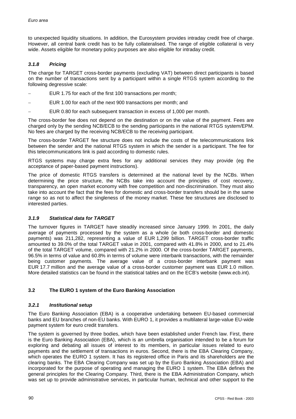to unexpected liquidity situations. In addition, the Eurosystem provides intraday credit free of charge. However, all central bank credit has to be fully collateralised. The range of eligible collateral is very wide. Assets eligible for monetary policy purposes are also eligible for intraday credit.

# *3.1.8 Pricing*

The charge for TARGET cross-border payments (excluding VAT) between direct participants is based on the number of transactions sent by a participant within a single RTGS system according to the following degressive scale:

- -EUR 1.75 for each of the first 100 transactions per month;
- -EUR 1.00 for each of the next 900 transactions per month; and
- -EUR 0.80 for each subsequent transaction in excess of 1,000 per month.

The cross-border fee does not depend on the destination or on the value of the payment. Fees are charged only by the sending NCB/ECB to the sending participants in the national RTGS system/EPM. No fees are charged by the receiving NCB/ECB to the receiving participant.

The cross-border TARGET fee structure does not include the costs of the telecommunications link between the sender and the national RTGS system in which the sender is a participant. The fee for this telecommunications link is paid according to domestic rules.

RTGS systems may charge extra fees for any additional services they may provide (eg the acceptance of paper-based payment instructions).

The price of domestic RTGS transfers is determined at the national level by the NCBs. When determining the price structure, the NCBs take into account the principles of cost recovery, transparency, an open market economy with free competition and non-discrimination. They must also take into account the fact that the fees for domestic and cross-border transfers should be in the same range so as not to affect the singleness of the money market. These fee structures are disclosed to interested parties.

# *3.1.9 Statistical data for TARGET*

The turnover figures in TARGET have steadily increased since January 1999. In 2001, the daily average of payments processed by the system as a whole (ie both cross-border and domestic payments) was 211,282, representing a value of EUR 1,299 billion. TARGET cross-border traffic amounted to 39.0% of the total TARGET value in 2001, compared with 41.8% in 2000, and to 21.4% of the total TARGET volume, compared with 21.2% in 2000. Of the cross-border TARGET payments, 96.5% in terms of value and 60.8% in terms of volume were interbank transactions, with the remainder being customer payments. The average value of a cross-border interbank payment was EUR 17.7 million and the average value of a cross-border customer payment was EUR 1.0 million. More detailed statistics can be found in the statistical tables and on the ECB's website (www.ecb.int).

# **3.2 The EURO 1 system of the Euro Banking Association**

# *3.2.1 Institutional setup*

The Euro Banking Association (EBA) is a cooperative undertaking between EU-based commercial banks and EU branches of non-EU banks. With EURO 1, it provides a multilateral large-value EU-wide payment system for euro credit transfers.

The system is governed by three bodies, which have been established under French law. First, there is the Euro Banking Association (EBA), which is an umbrella organisation intended to be a forum for exploring and debating all issues of interest to its members, in particular issues related to euro payments and the settlement of transactions in euros. Second, there is the EBA Clearing Company, which operates the EURO 1 system. It has its registered office in Paris and its shareholders are the clearing banks. The EBA Clearing Company was set up by the Euro Banking Association (EBA) and incorporated for the purpose of operating and managing the EURO 1 system. The EBA defines the general principles for the Clearing Company. Third, there is the EBA Administration Company, which was set up to provide administrative services, in particular human, technical and other support to the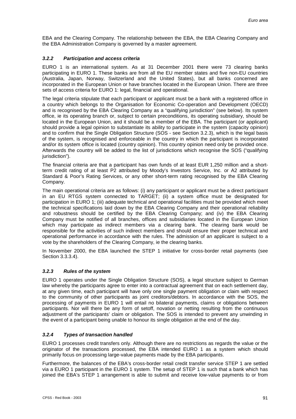EBA and the Clearing Company. The relationship between the EBA, the EBA Clearing Company and the EBA Administration Company is governed by a master agreement.

# *3.2.2 Participation and access criteria*

EURO 1 is an international system. As at 31 December 2001 there were 73 clearing banks participating in EURO 1. These banks are from all the EU member states and five non-EU countries (Australia, Japan, Norway, Switzerland and the United States), but all banks concerned are incorporated in the European Union or have branches located in the European Union. There are three sets of access criteria for EURO 1: legal, financial and operational.

The legal criteria stipulate that each participant or applicant must be a bank with a registered office in a country which belongs to the Organisation for Economic Co-operation and Development (OECD) and is recognised by the EBA Clearing Company as a "qualifying jurisdiction" (see below). Its system office, ie its operating branch or, subject to certain preconditions, its operating subsidiary, should be located in the European Union, and it should be a member of the EBA. The participant (or applicant) should provide a legal opinion to substantiate its ability to participate in the system (capacity opinion) and to confirm that the Single Obligation Structure (SOS - see Section 3.2.3), which is the legal basis of the system, is recognised and enforceable in the country in which the participant is incorporated and/or its system office is located (country opinion). This country opinion need only be provided once. Afterwards the country will be added to the list of jurisdictions which recognise the SOS ("qualifying jurisdiction").

The financial criteria are that a participant has own funds of at least EUR 1,250 million and a shortterm credit rating of at least P2 attributed by Moody's Investors Service, Inc. or A2 attributed by Standard & Poor's Rating Services, or any other short-term rating recognised by the EBA Clearing Company.

The main operational criteria are as follows: (i) any participant or applicant must be a direct participant in an EU RTGS system connected to TARGET; (ii) a system office must be designated for participation in EURO 1; (iii) adequate technical and operational facilities must be provided which meet the technical specifications laid down by the EBA Clearing Company and their operational reliability and robustness should be certified by the EBA Clearing Company; and (iv) the EBA Clearing Company must be notified of all branches, offices and subsidiaries located in the European Union which may participate as indirect members via a clearing bank. The clearing bank would be responsible for the activities of such indirect members and should ensure their proper technical and operational performance in accordance with the rules. The admission of an applicant is subject to a vote by the shareholders of the Clearing Company, ie the clearing banks.

In November 2000, the EBA launched the STEP 1 initiative for cross-border retail payments (see Section 3.3.3.4).

# *3.2.3 Rules of the system*

EURO 1 operates under the Single Obligation Structure (SOS), a legal structure subject to German law whereby the participants agree to enter into a contractual agreement that on each settlement day, at any given time, each participant will have only one single payment obligation or claim with respect to the community of other participants as joint creditors/debtors. In accordance with the SOS, the processing of payments in EURO 1 will entail no bilateral payments, claims or obligations between participants. Nor will there be any form of setoff, novation or netting resulting from the continuous adjustment of the participants' claim or obligation. The SOS is intended to prevent any unwinding in the event of a participant being unable to honour its single obligation at the end of the day.

# *3.2.4 Types of transaction handled*

EURO 1 processes credit transfers only. Although there are no restrictions as regards the value or the originator of the transactions processed, the EBA intended EURO 1 as a system which should primarily focus on processing large-value payments made by the EBA participants.

Furthermore, the balances of the EBA's cross-border retail credit transfer service STEP 1 are settled via a EURO 1 participant in the EURO 1 system. The setup of STEP 1 is such that a bank which has joined the EBA's STEP 1 arrangement is able to submit and receive low-value payments to or from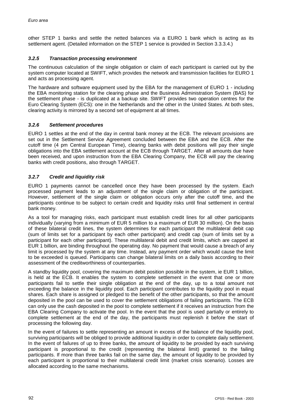other STEP 1 banks and settle the netted balances via a EURO 1 bank which is acting as its settlement agent. (Detailed information on the STEP 1 service is provided in Section 3.3.3.4.)

# *3.2.5 Transaction processing environment*

The continuous calculation of the single obligation or claim of each participant is carried out by the system computer located at SWIFT, which provides the network and transmission facilities for EURO 1 and acts as processing agent.

The hardware and software equipment used by the EBA for the management of EURO 1 - including the EBA monitoring station for the clearing phase and the Business Administration System (BAS) for the settlement phase - is duplicated at a backup site. SWIFT provides two operation centres for the Euro Clearing System (ECS): one in the Netherlands and the other in the United States. At both sites, clearing activity is mirrored by a second set of equipment at all times.

### *3.2.6 Settlement procedures*

EURO 1 settles at the end of the day in central bank money at the ECB. The relevant provisions are set out in the Settlement Service Agreement concluded between the EBA and the ECB. After the cutoff time (4 pm Central European Time), clearing banks with debit positions will pay their single obligations into the EBA settlement account at the ECB through TARGET. After all amounts due have been received, and upon instruction from the EBA Clearing Company, the ECB will pay the clearing banks with credit positions, also through TARGET.

### *3.2.7 Credit and liquidity risk*

EURO 1 payments cannot be cancelled once they have been processed by the system. Each processed payment leads to an adjustment of the single claim or obligation of the participant. However, settlement of the single claim or obligation occurs only after the cutoff time, and the participants continue to be subject to certain credit and liquidity risks until final settlement in central bank money.

As a tool for managing risks, each participant must establish credit lines for all other participants individually (varying from a minimum of EUR 5 million to a maximum of EUR 30 million). On the basis of these bilateral credit lines, the system determines for each participant the multilateral debit cap (sum of limits set for a participant by each other participant) and credit cap (sum of limits set by a participant for each other participant). These multilateral debit and credit limits, which are capped at EUR 1 billion, are binding throughout the operating day. No payment that would cause a breach of any limit is processed by the system at any time. Instead, any payment order which would cause the limit to be exceeded is queued. Participants can change bilateral limits on a daily basis according to their assessment of the creditworthiness of counterparties.

A standby liquidity pool, covering the maximum debit position possible in the system, ie EUR 1 billion, is held at the ECB. It enables the system to complete settlement in the event that one or more participants fail to settle their single obligation at the end of the day, up to a total amount not exceeding the balance in the liquidity pool. Each participant contributes to the liquidity pool in equal shares. Each share is assigned or pledged to the benefit of the other participants, so that the amount deposited in the pool can be used to cover the settlement obligations of failing participants. The ECB can only use the cash deposited in the pool to complete settlement if it receives an instruction from the EBA Clearing Company to activate the pool. In the event that the pool is used partially or entirely to complete settlement at the end of the day, the participants must replenish it before the start of processing the following day.

In the event of failures to settle representing an amount in excess of the balance of the liquidity pool, surviving participants will be obliged to provide additional liquidity in order to complete daily settlement. In the event of failures of up to three banks, the amount of liquidity to be provided by each surviving participant is proportional to the credit (representing the bilateral limit) granted to the failing participants. If more than three banks fail on the same day, the amount of liquidity to be provided by each participant is proportional to their multilateral credit limit (market crisis scenario). Losses are allocated according to the same mechanisms.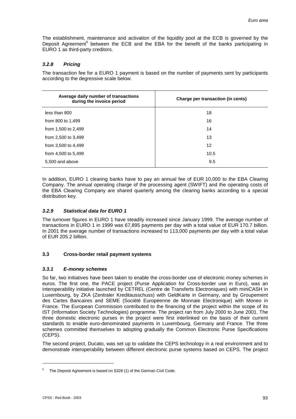The establishment, maintenance and activation of the liquidity pool at the ECB is governed by the Deposit Agreement<sup>6</sup> between the ECB and the EBA for the benefit of the banks participating in EURO 1 as third-party creditors.

# *3.2.8 Pricing*

The transaction fee for a EURO 1 payment is based on the number of payments sent by participants according to the degressive scale below.

| Average daily number of transactions<br>during the invoice period | Charge per transaction (in cents) |  |  |
|-------------------------------------------------------------------|-----------------------------------|--|--|
| less than 800                                                     | 18                                |  |  |
| from 800 to 1,499                                                 | 16                                |  |  |
| from 1,500 to 2,499                                               | 14                                |  |  |
| from 2,500 to 3,499                                               | 13                                |  |  |
| from 3,500 to 4,499                                               | 12                                |  |  |
| from 4,500 to 5,499                                               | 10.5                              |  |  |
| 5,500 and above                                                   | 9.5                               |  |  |

In addition, EURO 1 clearing banks have to pay an annual fee of EUR 10,000 to the EBA Clearing Company. The annual operating charge of the processing agent (SWIFT) and the operating costs of the EBA Clearing Company are shared quarterly among the clearing banks according to a special distribution key.

# *3.2.9 Statistical data for EURO 1*

The turnover figures in EURO 1 have steadily increased since January 1999. The average number of transactions in EURO 1 in 1999 was 67,895 payments per day with a total value of EUR 170.7 billion. In 2001 the average number of transactions increased to 113,000 payments per day with a total value of EUR 205.2 billion.

# **3.3 Cross-border retail payment systems**

# *3.3.1 E-money schemes*

So far, two initiatives have been taken to enable the cross-border use of electronic money schemes in euros. The first one, the PACE project (Purse Application for Cross-border use in Euro), was an interoperability initiative launched by CETREL (Centre de Transferts Electroniques) with miniCASH in Luxembourg, by ZKA (Zentraler Kreditausschuss) with GeldKarte in Germany, and by Groupement des Cartes Bancaires and SEME (Société Européenne de Monnaie Electronique) with Moneo in France. The European Commission contributed to the financing of the project within the scope of its IST (Information Society Technologies) programme. The project ran from July 2000 to June 2001. The three domestic electronic purses in the project were first interlinked on the basis of their current standards to enable euro-denominated payments in Luxembourg, Germany and France. The three schemes committed themselves to adopting gradually the Common Electronic Purse Specifications (CEPS).

The second project, Ducato, was set up to validate the CEPS technology in a real environment and to demonstrate interoperability between different electronic purse systems based on CEPS. The project

l

<sup>6</sup> The Deposit Agreement is based on §328 (1) of the German Civil Code.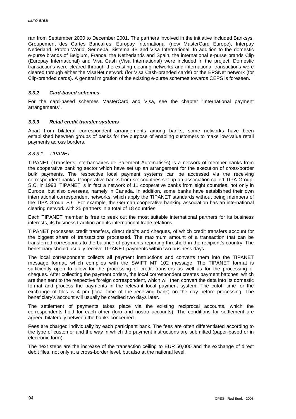ran from September 2000 to December 2001. The partners involved in the initiative included Banksys, Groupement des Cartes Bancaires, Europay International (now MasterCard Europe), Interpay Nederland, Proton World, Sermepa, Sistema 4B and Visa International. In addition to the domestic e-purse brands of Belgium, France, the Netherlands and Spain, the international e-purse brands Clip (Europay International) and Visa Cash (Visa International) were included in the project. Domestic transactions were cleared through the existing clearing networks and international transactions were cleared through either the VisaNet network (for Visa Cash-branded cards) or the EPSNet network (for Clip-branded cards). A general migration of the existing e-purse schemes towards CEPS is foreseen.

### *3.3.2 Card-based schemes*

For the card-based schemes MasterCard and Visa, see the chapter "International payment arrangements".

#### *3.3.3 Retail credit transfer systems*

Apart from bilateral correspondent arrangements among banks, some networks have been established between groups of banks for the purpose of enabling customers to make low-value retail payments across borders.

### *3.3.3.1 TIPANET*

TIPANET (Transferts Interbancaires de Paiement Automatisés) is a network of member banks from the cooperative banking sector which have set up an arrangement for the execution of cross-border bulk payments. The respective local payment systems can be accessed via the receiving correspondent banks. Cooperative banks from six countries set up an association called TIPA Group, S.C. in 1993. TIPANET is in fact a network of 11 cooperative banks from eight countries, not only in Europe, but also overseas, namely in Canada. In addition, some banks have established their own international correspondent networks, which apply the TIPANET standards without being members of the TIPA Group, S.C. For example, the German cooperative banking association has an international clearing network with 25 partners in a total of 18 countries.

Each TIPANET member is free to seek out the most suitable international partners for its business interests, its business tradition and its international trade relations.

TIPANET processes credit transfers, direct debits and cheques, of which credit transfers account for the biggest share of transactions processed. The maximum amount of a transaction that can be transferred corresponds to the balance of payments reporting threshold in the recipient's country. The beneficiary should usually receive TIPANET payments within two business days.

The local correspondent collects all payment instructions and converts them into the TIPANET message format, which complies with the SWIFT MT 102 message. The TIPANET format is sufficiently open to allow for the processing of credit transfers as well as for the processing of cheques. After collecting the payment orders, the local correspondent creates payment batches, which are then sent to the respective foreign correspondent, which will then convert the data into its domestic format and process the payments in the relevant local payment system. The cutoff time for the exchange of files is 4 pm (local time of the receiving bank) on the day before processing. The beneficiary's account will usually be credited two days later.

The settlement of payments takes place via the existing reciprocal accounts, which the correspondents hold for each other (loro and nostro accounts). The conditions for settlement are agreed bilaterally between the banks concerned.

Fees are charged individually by each participant bank. The fees are often differentiated according to the type of customer and the way in which the payment instructions are submitted (paper-based or in electronic form).

The next steps are the increase of the transaction ceiling to EUR 50,000 and the exchange of direct debit files, not only at a cross-border level, but also at the national level.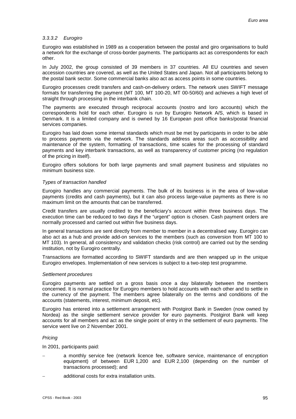### *3.3.3.2 Eurogiro*

Eurogiro was established in 1989 as a cooperation between the postal and giro organisations to build a network for the exchange of cross-border payments. The participants act as correspondents for each other.

In July 2002, the group consisted of 39 members in 37 countries. All EU countries and seven accession countries are covered, as well as the United States and Japan. Not all participants belong to the postal bank sector. Some commercial banks also act as access points in some countries.

Eurogiro processes credit transfers and cash-on-delivery orders. The network uses SWIFT message formats for transferring the payment (MT 100, MT 100-20, MT 00-50/60) and achieves a high level of straight through processing in the interbank chain.

The payments are executed through reciprocal accounts (nostro and loro accounts) which the correspondents hold for each other. Eurogiro is run by Eurogiro Network A/S, which is based in Denmark. It is a limited company and is owned by 16 European post office banks/postal financial services companies.

Eurogiro has laid down some internal standards which must be met by participants in order to be able to process payments via the network. The standards address areas such as accessibility and maintenance of the system, formatting of transactions, time scales for the processing of standard payments and key interbank transactions, as well as transparency of customer pricing (no regulation of the pricing in itself).

Eurogiro offers solutions for both large payments and small payment business and stipulates no minimum business size.

#### *Types of transaction handled*

Eurogiro handles any commercial payments. The bulk of its business is in the area of low-value payments (credits and cash payments), but it can also process large-value payments as there is no maximum limit on the amounts that can be transferred.

Credit transfers are usually credited to the beneficiary's account within three business days. The execution time can be reduced to two days if the "urgent" option is chosen. Cash payment orders are normally processed and carried out within five business days.

In general transactions are sent directly from member to member in a decentralised way. Eurogiro can also act as a hub and provide add-on services to the members (such as conversion from MT 100 to MT 103). In general, all consistency and validation checks (risk control) are carried out by the sending institution, not by Eurogiro centrally.

Transactions are formatted according to SWIFT standards and are then wrapped up in the unique Eurogiro envelopes. Implementation of new services is subject to a two-step test programme.

#### *Settlement procedures*

Eurogiro payments are settled on a gross basis once a day bilaterally between the members concerned. It is normal practice for Eurogiro members to hold accounts with each other and to settle in the currency of the payment. The members agree bilaterally on the terms and conditions of the accounts (statements, interest, minimum deposit, etc).

Eurogiro has entered into a settlement arrangement with Postgirot Bank in Sweden (now owned by Nordea) as the single settlement service provider for euro payments. Postgirot Bank will keep accounts for all members and act as the single point of entry in the settlement of euro payments. The service went live on 2 November 2001.

#### *Pricing*

In 2001, participants paid:

- a monthly service fee (network licence fee, software service, maintenance of encryption equipment) of between EUR 1,200 and EUR 2,100 (depending on the number of transactions processed); and
- additional costs for extra installation units.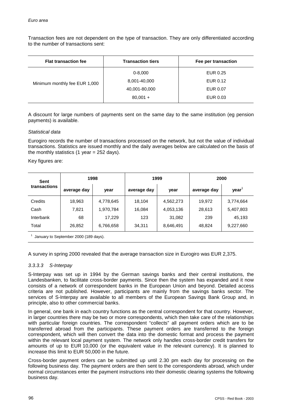Transaction fees are not dependent on the type of transaction. They are only differentiated according to the number of transactions sent:

| <b>Flat transaction fee</b>   | <b>Transaction tiers</b> | Fee per transaction |
|-------------------------------|--------------------------|---------------------|
|                               | $0 - 8,000$              | EUR 0.25            |
| Minimum monthly fee EUR 1,000 | 8,001-40,000             | EUR 0.12            |
|                               | 40,001-80,000            | EUR 0.07            |
|                               | $80,001 +$               | EUR 0.03            |
|                               |                          |                     |

A discount for large numbers of payments sent on the same day to the same institution (eg pension payments) is available.

### *Statistical data*

Eurogiro records the number of transactions processed on the network, but not the value of individual transactions. Statistics are issued monthly and the daily averages below are calculated on the basis of the monthly statistics  $(1 \text{ year} = 252 \text{ days})$ .

Key figures are:

| Sent         | 1998        |           | 1999        |           | 2000        |                   |
|--------------|-------------|-----------|-------------|-----------|-------------|-------------------|
| transactions | average day | year      | average day | year      | average day | year <sup>'</sup> |
| Credits      | 18,963      | 4,778,645 | 18,104      | 4,562,273 | 19,972      | 3,774,664         |
| Cash         | 7,821       | 1,970,784 | 16,084      | 4,053,136 | 28,613      | 5,407,803         |
| Interbank    | 68          | 17,229    | 123         | 31,082    | 239         | 45,193            |
| Total        | 26,852      | 6,766,658 | 34,311      | 8,646,491 | 48,824      | 9,227,660         |

 $<sup>1</sup>$  January to September 2000 (189 days).</sup>

A survey in spring 2000 revealed that the average transaction size in Eurogiro was EUR 2,375.

# *3.3.3.3 S-Interpay*

S-Interpay was set up in 1994 by the German savings banks and their central institutions, the Landesbanken, to facilitate cross-border payments. Since then the system has expanded and it now consists of a network of correspondent banks in the European Union and beyond. Detailed access criteria are not published. However, participants are mainly from the savings banks sector. The services of S-Interpay are available to all members of the European Savings Bank Group and, in principle, also to other commercial banks.

In general, one bank in each country functions as the central correspondent for that country. However, in larger countries there may be two or more correspondents, which then take care of the relationships with particular foreign countries. The correspondent "collects" all payment orders which are to be transferred abroad from the participants. These payment orders are transferred to the foreign correspondent, which will then convert the data into the domestic format and process the payment within the relevant local payment system. The network only handles cross-border credit transfers for amounts of up to EUR 10,000 (or the equivalent value in the relevant currency). It is planned to increase this limit to EUR 50,000 in the future.

Cross-border payment orders can be submitted up until 2.30 pm each day for processing on the following business day. The payment orders are then sent to the correspondents abroad, which under normal circumstances enter the payment instructions into their domestic clearing systems the following business day.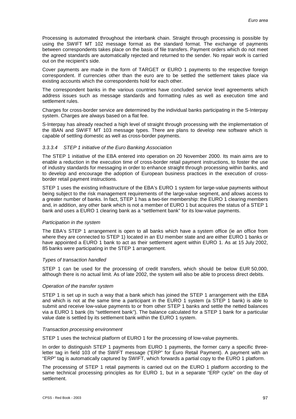Processing is automated throughout the interbank chain. Straight through processing is possible by using the SWIFT MT 102 message format as the standard format. The exchange of payments between correspondents takes place on the basis of file transfers. Payment orders which do not meet the agreed standards are automatically rejected and returned to the sender. No repair work is carried out on the recipient's side.

Cover payments are made in the form of TARGET or EURO 1 payments to the respective foreign correspondent. If currencies other than the euro are to be settled the settlement takes place via existing accounts which the correspondents hold for each other.

The correspondent banks in the various countries have concluded service level agreements which address issues such as message standards and formatting rules as well as execution time and settlement rules.

Charges for cross-border service are determined by the individual banks participating in the S-Interpay system. Charges are always based on a flat fee.

S-Interpay has already reached a high level of straight through processing with the implementation of the IBAN and SWIFT MT 103 message types. There are plans to develop new software which is capable of settling domestic as well as cross-border payments.

#### *3.3.3.4 STEP 1 initiative of the Euro Banking Association*

The STEP 1 initiative of the EBA entered into operation on 20 November 2000. Its main aims are to enable a reduction in the execution time of cross-border retail payment instructions, to foster the use of industry standards for messaging in order to enhance straight through processing within banks, and to develop and encourage the adoption of European business practices in the execution of crossborder retail payment instructions.

STEP 1 uses the existing infrastructure of the EBA's EURO 1 system for large-value payments without being subject to the risk management requirements of the large-value segment, and allows access to a greater number of banks. In fact, STEP 1 has a two-tier membership: the EURO 1 clearing members and, in addition, any other bank which is not a member of EURO 1 but acquires the status of a STEP 1 bank and uses a EURO 1 clearing bank as a "settlement bank" for its low-value payments.

#### *Participation in the system*

The EBA's STEP 1 arrangement is open to all banks which have a system office (ie an office from where they are connected to STEP 1) located in an EU member state and are either EURO 1 banks or have appointed a EURO 1 bank to act as their settlement agent within EURO 1. As at 15 July 2002, 85 banks were participating in the STEP 1 arrangement.

#### *Types of transaction handled*

STEP 1 can be used for the processing of credit transfers, which should be below EUR 50,000, although there is no actual limit. As of late 2002, the system will also be able to process direct debits.

#### *Operation of the transfer system*

STEP 1 is set up in such a way that a bank which has joined the STEP 1 arrangement with the EBA and which is not at the same time a participant in the EURO 1 system (a STEP 1 bank) is able to submit and receive low-value payments to or from other STEP 1 banks and settle the netted balances via a EURO 1 bank (its "settlement bank"). The balance calculated for a STEP 1 bank for a particular value date is settled by its settlement bank within the EURO 1 system.

#### *Transaction processing environment*

STEP 1 uses the technical platform of EURO 1 for the processing of low-value payments.

In order to distinguish STEP 1 payments from EURO 1 payments, the former carry a specific threeletter tag in field 103 of the SWIFT message ("ERP" for Euro Retail Payment). A payment with an "ERP" tag is automatically captured by SWIFT, which forwards a partial copy to the EURO 1 platform.

The processing of STEP 1 retail payments is carried out on the EURO 1 platform according to the same technical processing principles as for EURO 1, but in a separate "ERP cycle" on the day of settlement.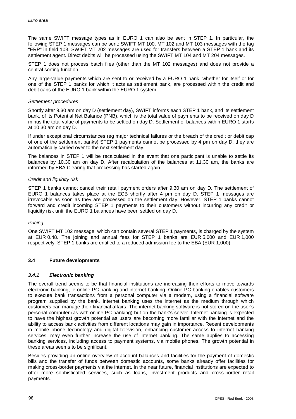The same SWIFT message types as in EURO 1 can also be sent in STEP 1. In particular, the following STEP 1 messages can be sent: SWIFT MT 100, MT 102 and MT 103 messages with the tag "ERP" in field 103. SWIFT MT 202 messages are used for transfers between a STEP 1 bank and its settlement agent. Direct debits will be processed using the SWIFT MT 104 and MT 204 messages.

STEP 1 does not process batch files (other than the MT 102 messages) and does not provide a central sorting function.

Any large-value payments which are sent to or received by a EURO 1 bank, whether for itself or for one of the STEP 1 banks for which it acts as settlement bank, are processed within the credit and debit caps of the EURO 1 bank within the EURO 1 system.

#### *Settlement procedures*

Shortly after 9.30 am on day D (settlement day), SWIFT informs each STEP 1 bank, and its settlement bank, of its Potential Net Balance (PNB), which is the total value of payments to be received on day D minus the total value of payments to be settled on day D. Settlement of balances within EURO 1 starts at 10.30 am on day D.

If under exceptional circumstances (eg major technical failures or the breach of the credit or debit cap of one of the settlement banks) STEP 1 payments cannot be processed by 4 pm on day D, they are automatically carried over to the next settlement day.

The balances in STEP 1 will be recalculated in the event that one participant is unable to settle its balances by 10.30 am on day D. After recalculation of the balances at 11.30 am, the banks are informed by EBA Clearing that processing has started again.

### *Credit and liquidity risk*

STEP 1 banks cannot cancel their retail payment orders after 9.30 am on day D. The settlement of EURO 1 balances takes place at the ECB shortly after 4 pm on day D. STEP 1 messages are irrevocable as soon as they are processed on the settlement day. However, STEP 1 banks cannot forward and credit incoming STEP 1 payments to their customers without incurring any credit or liquidity risk until the EURO 1 balances have been settled on day D.

# *Pricing*

One SWIFT MT 102 message, which can contain several STEP 1 payments, is charged by the system at EUR 0.48. The joining and annual fees for STEP 1 banks are EUR 5,000 and EUR 1,000 respectively. STEP 1 banks are entitled to a reduced admission fee to the EBA (EUR 1,000).

# **3.4 Future developments**

#### *3.4.1 Electronic banking*

The overall trend seems to be that financial institutions are increasing their efforts to move towards electronic banking, ie online PC banking and internet banking. Online PC banking enables customers to execute bank transactions from a personal computer via a modem, using a financial software program supplied by the bank. Internet banking uses the internet as the medium through which customers can manage their financial affairs. The internet banking software is not stored on the user's personal computer (as with online PC banking) but on the bank's server. Internet banking is expected to have the highest growth potential as users are becoming more familiar with the internet and the ability to access bank activities from different locations may gain in importance. Recent developments in mobile phone technology and digital television, enhancing customer access to internet banking services, may even further increase the use of internet banking. The same applies to accessing banking services, including access to payment systems, via mobile phones. The growth potential in these areas seems to be significant.

Besides providing an online overview of account balances and facilities for the payment of domestic bills and the transfer of funds between domestic accounts, some banks already offer facilities for making cross-border payments via the internet. In the near future, financial institutions are expected to offer more sophisticated services, such as loans, investment products and cross-border retail payments.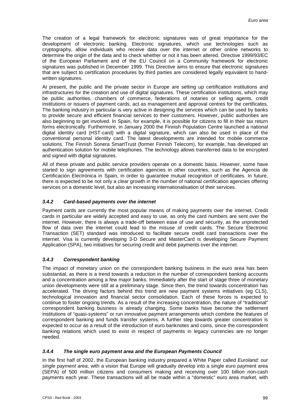The creation of a legal framework for electronic signatures was of great importance for the development of electronic banking. Electronic signatures, which use technologies such as cryptography, allow individuals who receive data over the internet or other online networks to determine the origin of the data and to check whether or not it has been altered. Directive 1999/93/EC of the European Parliament and of the EU Council on a Community framework for electronic signatures was published in December 1999. This Directive aims to ensure that electronic signatures that are subject to certification procedures by third parties are considered legally equivalent to handwritten signatures.

At present, the public and the private sector in Europe are setting up certification institutions and infrastructures for the creation and use of digital signatures. These certification institutions, which may be public authorities, chambers of commerce, federations of notaries or selling agents, credit institutions or issuers of payment cards, act as management and approval centres for the certificates. The banking industry in particular is very active in designing the services which can be used by banks to provide secure and efficient financial services to their customers. However, public authorities are also beginning to get involved. In Spain, for example, it is possible for citizens to fill in their tax return forms electronically. Furthermore, in January 2000 the Finnish Population Centre launched a national digital identity card (HST-card) with a digital signature, which can also be used in place of the conventional personal identity card. The latest developments are intended for mobile commerce solutions. The Finnish Sonera SmartTrust (former Finnish Telecom), for example, has developed an authentication solution for mobile telephones. The technology allows transferred data to be encrypted and signed with digital signatures.

All of these private and public service providers operate on a domestic basis. However, some have started to sign agreements with certification agencies in other countries, such as the Agencia de Certificación Electrónica in Spain, in order to guarantee mutual recognition of certificates. In future, there is expected to be not only a clear growth in the number of national certification agencies offering services on a domestic level, but also an increasing internationalisation of their services.

# *3.4.2 Card-based payments over the internet*

Payment cards are currently the most popular means of making payments over the internet. Credit cards in particular are widely accepted and easy to use, as only the card numbers are sent over the internet. However, there is always a trade-off between ease of use and security, as the unprotected flow of data over the internet could lead to the misuse of credit cards. The Secure Electronic Transaction (SET) standard was introduced to facilitate secure credit card transactions over the internet. Visa is currently developing 3-D Secure and MasterCard is developing Secure Payment Application (SPA), two initiatives for securing credit and debit payments over the internet.

# *3.4.3 Correspondent banking*

The impact of monetary union on the correspondent banking business in the euro area has been substantial, as there is a trend towards a reduction in the number of correspondent banking accounts and a concentration among a few major banks. Immediately after the start of stage three of monetary union developments were still at a preliminary stage. Since then, the trend towards concentration has accelerated. The driving factors behind this trend are new payment systems initiatives (eg CLS), technological innovation and financial sector consolidation. Each of these forces is expected to continue to foster ongoing trends. As a result of the increasing concentration, the nature of "traditional" correspondent banking business is already changing. Some banks have become the settlement institutions of "quasi-systems" or run innovative payment arrangements which combine the features of correspondent banking and funds transfer systems. A further step towards greater concentration is expected to occur as a result of the introduction of euro banknotes and coins, since the correspondent banking relations which used to exist in respect of payments in legacy currencies are no longer needed.

# *3.4.4 The single euro payment area and the European Payments Council*

In the first half of 2002, the European banking industry prepared a White Paper called *Euroland: our single payment area*, with a vision that Europe will gradually develop into a single euro payment area (SEPA) of 500 million citizens and consumers making and receiving over 100 billion non-cash payments each year. These transactions will all be made within a "domestic" euro area market, with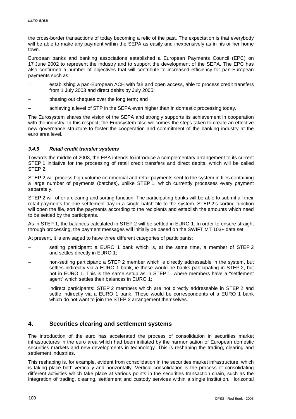the cross-border transactions of today becoming a relic of the past. The expectation is that everybody will be able to make any payment within the SEPA as easily and inexpensively as in his or her home town.

European banks and banking associations established a European Payments Council (EPC) on 17 June 2002 to represent the industry and to support the development of the SEPA. The EPC has also confirmed a number of objectives that will contribute to increased efficiency for pan-European payments such as:

 establishing a pan-European ACH with fair and open access, able to process credit transfers from 1 July 2003 and direct debits by July 2005;

phasing out cheques over the long term; and

achieving a level of STP in the SEPA even higher than in domestic processing today.

The Eurosystem shares the vision of the SEPA and strongly supports its achievement in cooperation with the industry. In this respect, the Eurosystem also welcomes the steps taken to create an effective new governance structure to foster the cooperation and commitment of the banking industry at the euro area level.

# *3.4.5 Retail credit transfer systems*

Towards the middle of 2003, the EBA intends to introduce a complementary arrangement to its current STEP 1 initiative for the processing of retail credit transfers and direct debits, which will be called STEP 2.

STEP 2 will process high-volume commercial and retail payments sent to the system in files containing a large number of payments (batches), unlike STEP 1, which currently processes every payment separately.

STEP 2 will offer a clearing and sorting function. The participating banks will be able to submit all their retail payments for one settlement day in a single batch file to the system. STEP 2's sorting function will open the file, sort the payments according to the recipients and establish the amounts which need to be settled by the participants.

As in STEP 1, the balances calculated in STEP 2 will be settled in EURO 1. In order to ensure straight through processing, the payment messages will initially be based on the SWIFT MT 103+ data set.

At present, it is envisaged to have three different categories of participants:

- settling participant: a EURO 1 bank which is, at the same time, a member of STEP 2 and settles directly in EURO 1;
- non-settling participant: a STEP 2 member which is directly addressable in the system, but settles indirectly via a EURO 1 bank, ie these would be banks participating in STEP 2, but not in EURO 1. This is the same setup as in STEP 1, where members have a "settlement agent" which settles their balances in EURO 1;
- indirect participants: STEP 2 members which are not directly addressable in STEP 2 and settle indirectly via a EURO 1 bank. These would be correspondents of a EURO 1 bank which do not want to join the STEP 2 arrangement themselves.

# **4. Securities clearing and settlement systems**

The introduction of the euro has accelerated the process of consolidation in securities market infrastructures in the euro area which had been initiated by the harmonisation of European domestic securities markets and new developments in technology. This is reshaping the trading, clearing and settlement industries.

This reshaping is, for example, evident from consolidation in the securities market infrastructure, which is taking place both vertically and horizontally. Vertical consolidation is the process of consolidating different activities which take place at various points in the securities transaction chain, such as the integration of trading, clearing, settlement and custody services within a single institution. Horizontal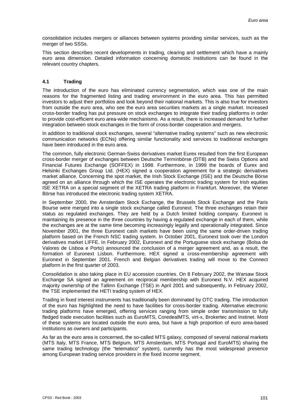consolidation includes mergers or alliances between systems providing similar services, such as the merger of two SSSs.

This section describes recent developments in trading, clearing and settlement which have a mainly euro area dimension. Detailed information concerning domestic institutions can be found in the relevant country chapters.

# **4.1 Trading**

The introduction of the euro has eliminated currency segmentation, which was one of the main reasons for the fragmented listing and trading environment in the euro area. This has permitted investors to adjust their portfolios and look beyond their national markets. This is also true for investors from outside the euro area, who see the euro area securities markets as a single market. Increased cross-border trading has put pressure on stock exchanges to integrate their trading platforms in order to provide cost-efficient euro area-wide mechanisms. As a result, there is increased demand for further integration between stock exchanges in the form of cross-border cooperation and mergers.

In addition to traditional stock exchanges, several "alternative trading systems" such as new electronic communication networks (ECNs) offering similar functionality and services to traditional exchanges have been introduced in the euro area.

The common, fully electronic German-Swiss derivatives market Eurex resulted from the first European cross-border merger of exchanges between Deutsche Terminbörse (DTB) and the Swiss Options and Financial Futures Exchange (SOFFEX) in 1998. Furthermore, in 1999 the boards of Eurex and Helsinki Exchanges Group Ltd. (HEX) signed a cooperation agreement for a strategic derivatives market alliance. Concerning the spot market, the Irish Stock Exchange (ISE) and the Deutsche Börse agreed on an alliance through which the ISE operates the electronic trading system for Irish equities ISE XETRA on a special segment of the XETRA trading platform in Frankfurt. Moreover, the Wiener Börse has introduced the electronic trading system XETRA.

In September 2000, the Amsterdam Stock Exchange, the Brussels Stock Exchange and the Paris Bourse were merged into a single stock exchange called Euronext. The three exchanges retain their status as regulated exchanges. They are held by a Dutch limited holding company. Euronext is maintaining its presence in the three countries by having a regulated exchange in each of them, while the exchanges are at the same time becoming increasingly legally and operationally integrated. Since November 2001, the three Euronext cash markets have been using the same order-driven trading platform based on the French NSC trading system. In October 2001, Euronext took over the London derivatives market LIFFE. In February 2002, Euronext and the Portuguese stock exchange (Bolsa de Valores de Lisboa e Porto) announced the conclusion of a merger agreement and, as a result, the formation of Euronext Lisbon. Furthermore, HEX signed a cross-membership agreement with Euronext in September 2001. French and Belgian derivatives trading will move to the Connect platform in the first quarter of 2003.

Consolidation is also taking place in EU accession countries. On 8 February 2002, the Warsaw Stock Exchange SA signed an agreement on reciprocal membership with Euronext N.V. HEX acquired majority ownership of the Tallinn Exchange (TSE) in April 2001 and subsequently, in February 2002, the TSE implemented the HETI trading system of HEX.

Trading in fixed interest instruments has traditionally been dominated by OTC trading. The introduction of the euro has highlighted the need to have facilities for cross-border trading. Alternative electronic trading platforms have emerged, offering services ranging from simple order transmission to fully fledged trade execution facilities such as EuroMTS, CoredealMTS, virt-x, Brokertec and Instinet. Most of these systems are located outside the euro area, but have a high proportion of euro area-based institutions as owners and participants.

As far as the euro area is concerned, the so-called MTS galaxy, composed of several national markets (MTS Italy, MTS France, MTS Belgium, MTS Amsterdam, MTS Portugal and EuroMTS) sharing the same trading technology (the "telematico" system), currently has the most widespread presence among European trading service providers in the fixed income segment.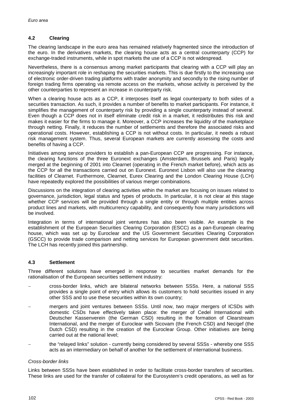# **4.2 Clearing**

The clearing landscape in the euro area has remained relatively fragmented since the introduction of the euro. In the derivatives markets, the clearing house acts as a central counterparty (CCP) for exchange-traded instruments, while in spot markets the use of a CCP is not widespread.

Nevertheless, there is a consensus among market participants that clearing with a CCP will play an increasingly important role in reshaping the securities markets. This is due firstly to the increasing use of electronic order-driven trading platforms with trader anonymity and secondly to the rising number of foreign trading firms operating via remote access on the markets, whose activity is perceived by the other counterparties to represent an increase in counterparty risk.

When a clearing house acts as a CCP, it interposes itself as legal counterparty to both sides of a securities transaction. As such, it provides a number of benefits to market participants. For instance, it simplifies the management of counterparty risk by providing a single counterparty instead of several. Even though a CCP does not in itself eliminate credit risk in a market, it redistributes this risk and makes it easier for the firms to manage it. Moreover, a CCP increases the liquidity of the marketplace through netting. Finally, it reduces the number of settlements and therefore the associated risks and operational costs. However, establishing a CCP is not without costs. In particular, it needs a robust risk management system. Thus, several European markets are currently assessing the costs and benefits of having a CCP.

Initiatives among service providers to establish a pan-European CCP are progressing. For instance, the clearing functions of the three Euronext exchanges (Amsterdam, Brussels and Paris) legally merged at the beginning of 2001 into Clearnet (operating in the French market before), which acts as the CCP for all the transactions carried out on Euronext. Euronext Lisbon will also use the clearing facilities of Clearnet. Furthermore, Clearnet, Eurex Clearing and the London Clearing House (LCH) have repeatedly explored the possibilities of various merger combinations.

Discussions on the integration of clearing activities within the market are focusing on issues related to governance, jurisdiction, legal status and types of products. In particular, it is not clear at this stage whether CCP services will be provided through a single entity or through multiple entities across product lines and markets, with multicurrency capability, and consequently how many jurisdictions will be involved.

Integration in terms of international joint ventures has also been visible. An example is the establishment of the European Securities Clearing Corporation (ESCC) as a pan-European clearing house, which was set up by Euroclear and the US Government Securities Clearing Corporation (GSCC) to provide trade comparison and netting services for European government debt securities. The LCH has recently joined this partnership.

# **4.3 Settlement**

Three different solutions have emerged in response to securities market demands for the rationalisation of the European securities settlement industry:

- cross-border links, which are bilateral networks between SSSs. Here, a national SSS provides a single point of entry which allows its customers to hold securities issued in any other SSS and to use these securities within its own country;
- mergers and joint ventures between SSSs. Until now, two major mergers of ICSDs with domestic CSDs have effectively taken place: the merger of Cedel International with Deutscher Kassenverein (the German CSD) resulting in the formation of Clearstream International, and the merger of Euroclear with Sicovam (the French CSD) and Necigef (the Dutch CSD) resulting in the creation of the Euroclear Group. Other initiatives are being carried out at the national level;
- the "relayed links" solution - currently being considered by several SSSs - whereby one SSS acts as an intermediary on behalf of another for the settlement of international business.

#### *Cross-border links*

Links between SSSs have been established in order to facilitate cross-border transfers of securities. These links are used for the transfer of collateral for the Eurosystem's credit operations, as well as for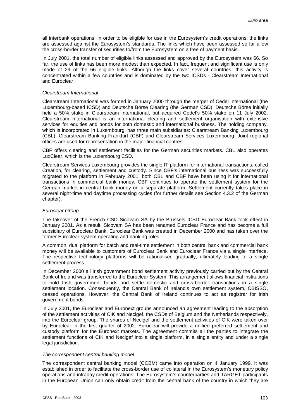all interbank operations. In order to be eligible for use in the Eurosystem's credit operations, the links are assessed against the Eurosystem's standards. The links which have been assessed so far allow the cross-border transfer of securities to/from the Eurosystem on a free of payment basis.

In July 2001, the total number of eligible links assessed and approved by the Eurosystem was 66. So far, the use of links has been more modest than expected. In fact, frequent and significant use is only made of 29 of the 66 eligible links. Although the links cover several countries, this activity is concentrated within a few countries and is dominated by the two ICSDs - Clearstream International and Euroclear.

#### *Clearstream International*

Clearstream International was formed in January 2000 through the merger of Cedel International (the Luxembourg-based ICSD) and Deutsche Börse Clearing (the German CSD). Deutsche Börse initially held a 50% stake in Clearstream International, but acquired Cedel's 50% stake on 11 July 2002. Clearstream International is an international clearing and settlement organisation with extensive services for equities and bonds for both domestic and international business. The holding company, which is incorporated in Luxembourg, has three main subsidiaries: Clearstream Banking Luxembourg (CBL), Clearstream Banking Frankfurt (CBF) and Clearstream Services Luxembourg. Joint regional offices are used for representation in the major financial centres.

CBF offers clearing and settlement facilities for the German securities markets. CBL also operates LuxClear, which is the Luxembourg CSD.

Clearstream Services Luxembourg provides the single IT platform for international transactions, called Creation, for clearing, settlement and custody. Since CBF's international business was successfully migrated to the platform in February 2001, both CBL and CBF have been using it for international transactions in commercial bank money. CBF continues to operate the settlement system for the German market in central bank money on a separate platform. Settlement currently takes place in several night-time and daytime processing cycles (for further details see Section 4.3.2 of the German chapter).

#### *Euroclear Group*

The takeover of the French CSD Sicovam SA by the Brussels ICSD Euroclear Bank took effect in January 2001. As a result, Sicovam SA has been renamed Euroclear France and has become a full subsidiary of Euroclear Bank. Euroclear Bank was created in December 2000 and has taken over the former Euroclear system operating and banking roles.

A common, dual platform for batch and real-time settlement in both central bank and commercial bank money will be available to customers of Euroclear Bank and Euroclear France via a single interface. The respective technology platforms will be rationalised gradually, ultimately leading to a single settlement process.

In December 2000 all Irish government bond settlement activity previously carried out by the Central Bank of Ireland was transferred to the Euroclear System. This arrangement allows financial institutions to hold Irish government bonds and settle domestic and cross-border transactions in a single settlement location. Consequently, the Central Bank of Ireland's own settlement system, CBISSO, ceased operations. However, the Central Bank of Ireland continues to act as registrar for Irish government bonds.

In July 2001, the Euroclear and Euronext groups announced an agreement leading to the absorption of the settlement activities of CIK and Necigef, the CSDs of Belgium and the Netherlands respectively, into the Euroclear group. The shares of Necigef and the settlement activities of CIK were taken over by Euroclear in the first quarter of 2002. Euroclear will provide a unified preferred settlement and custody platform for the Euronext markets. The agreement commits all the parties to integrate the settlement functions of CIK and Necigef into a single platform, in a single entity and under a single legal jurisdiction.

#### *The correspondent central banking model*

The correspondent central banking model (CCBM) came into operation on 4 January 1999. It was established in order to facilitate the cross-border use of collateral in the Eurosystem's monetary policy operations and intraday credit operations. The Eurosystem's counterparties and TARGET participants in the European Union can only obtain credit from the central bank of the country in which they are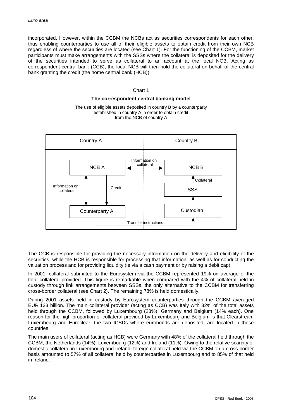incorporated. However, within the CCBM the NCBs act as securities correspondents for each other, thus enabling counterparties to use all of their eligible assets to obtain credit from their own NCB regardless of where the securities are located (see Chart 1). For the functioning of the CCBM, market participants must make arrangements with the SSSs where the collateral is deposited for the delivery of the securities intended to serve as collateral to an account at the local NCB. Acting as correspondent central bank (CCB), the local NCB will then hold the collateral on behalf of the central bank granting the credit (the home central bank (HCB)).

### Chart 1

#### **The correspondent central banking model**

The use of eligible assets deposited in country B by a counterparty established in country A in order to obtain credit from the NCB of country A



The CCB is responsible for providing the necessary information on the delivery and eligibility of the securities, while the HCB is responsible for processing that information, as well as for conducting the valuation process and for providing liquidity (ie via a cash payment or by raising a debit cap).

In 2001, collateral submitted to the Eurosystem via the CCBM represented 19% on average of the total collateral provided. This figure is remarkable when compared with the 4% of collateral held in custody through link arrangements between SSSs, the only alternative to the CCBM for transferring cross-border collateral (see Chart 2). The remaining 78% is held domestically.

During 2001 assets held in custody by Eurosystem counterparties through the CCBM averaged EUR 133 billion. The main collateral provider (acting as CCB) was Italy with 32% of the total assets held through the CCBM, followed by Luxembourg (23%), Germany and Belgium (14% each). One reason for the high proportion of collateral provided by Luxembourg and Belgium is that Clearstream Luxembourg and Euroclear, the two ICSDs where eurobonds are deposited, are located in those countries.

The main users of collateral (acting as HCB) were Germany with 48% of the collateral held through the CCBM, the Netherlands (14%), Luxembourg (12%) and Ireland (11%). Owing to the relative scarcity of domestic collateral in Luxembourg and Ireland, foreign collateral held via the CCBM on a cross-border basis amounted to 57% of all collateral held by counterparties in Luxembourg and to 85% of that held in Ireland.